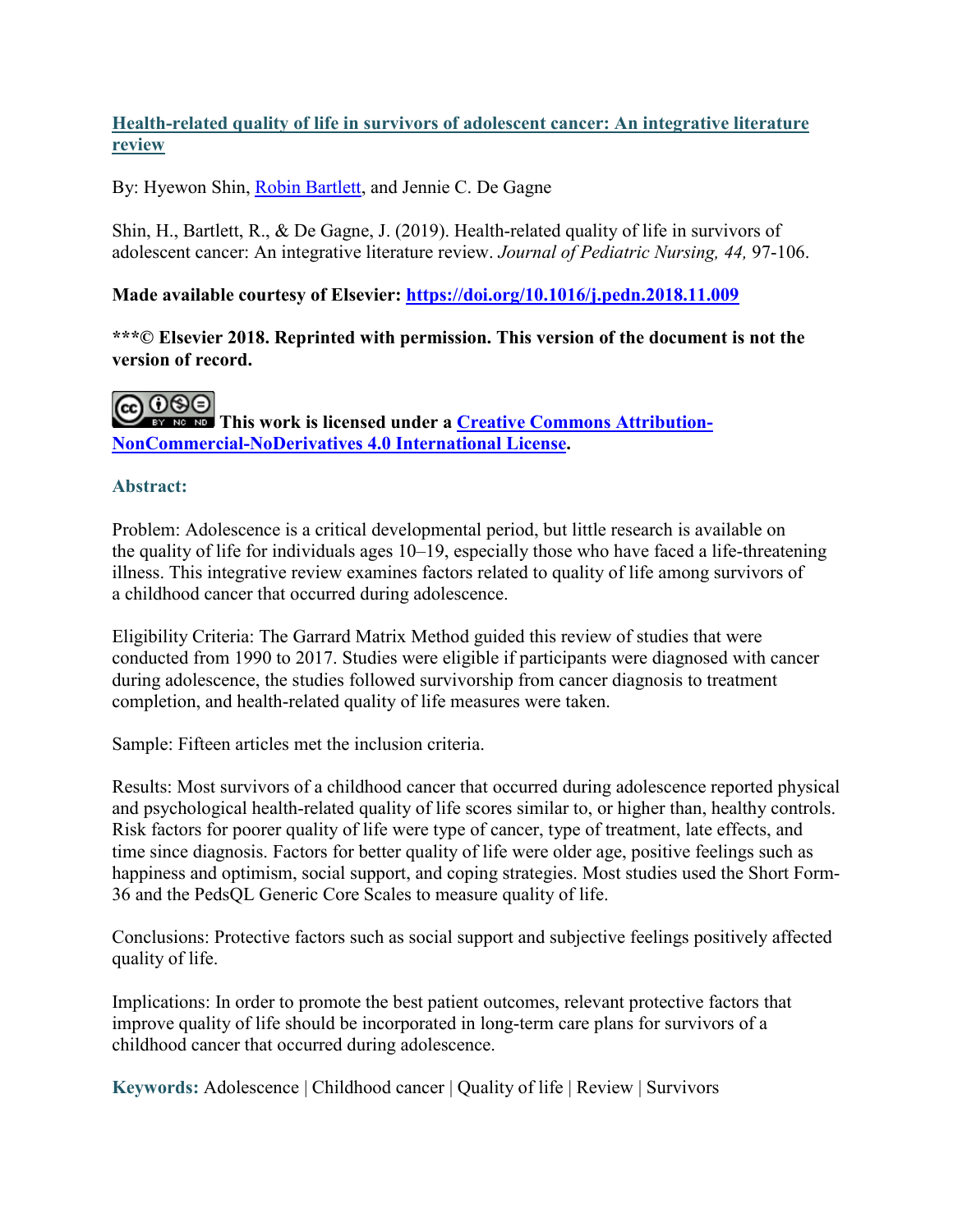# **Health-related quality of life in survivors of adolescent cancer: An integrative literature review**

By: Hyewon Shin, [Robin Bartlett,](https://libres.uncg.edu/ir/uncg/clist.aspx?id=1649) and Jennie C. De Gagne

Shin, H., Bartlett, R., & De Gagne, J. (2019). Health-related quality of life in survivors of adolescent cancer: An integrative literature review. *Journal of Pediatric Nursing, 44,* 97-106.

## **Made available courtesy of Elsevier:<https://doi.org/10.1016/j.pedn.2018.11.009>**

**\*\*\*© Elsevier 2018. Reprinted with permission. This version of the document is not the version of record.**



**CO OSO**<br>**This work is licensed under a <u>Creative Commons Attribution-</u> [NonCommercial-NoDerivatives 4.0 International License.](http://creativecommons.org/licenses/by-nc-nd/4.0/)**

## **Abstract:**

Problem: Adolescence is a critical developmental period, but little research is available on the quality of life for individuals ages 10–19, especially those who have faced a life-threatening illness. This integrative review examines factors related to quality of life among survivors of a childhood cancer that occurred during adolescence.

Eligibility Criteria: The Garrard Matrix Method guided this review of studies that were conducted from 1990 to 2017. Studies were eligible if participants were diagnosed with cancer during adolescence, the studies followed survivorship from cancer diagnosis to treatment completion, and health-related quality of life measures were taken.

Sample: Fifteen articles met the inclusion criteria.

Results: Most survivors of a childhood cancer that occurred during adolescence reported physical and psychological health-related quality of life scores similar to, or higher than, healthy controls. Risk factors for poorer quality of life were type of cancer, type of treatment, late effects, and time since diagnosis. Factors for better quality of life were older age, positive feelings such as happiness and optimism, social support, and coping strategies. Most studies used the Short Form-36 and the PedsQL Generic Core Scales to measure quality of life.

Conclusions: Protective factors such as social support and subjective feelings positively affected quality of life.

Implications: In order to promote the best patient outcomes, relevant protective factors that improve quality of life should be incorporated in long-term care plans for survivors of a childhood cancer that occurred during adolescence.

**Keywords:** Adolescence | Childhood cancer | Quality of life | Review | Survivors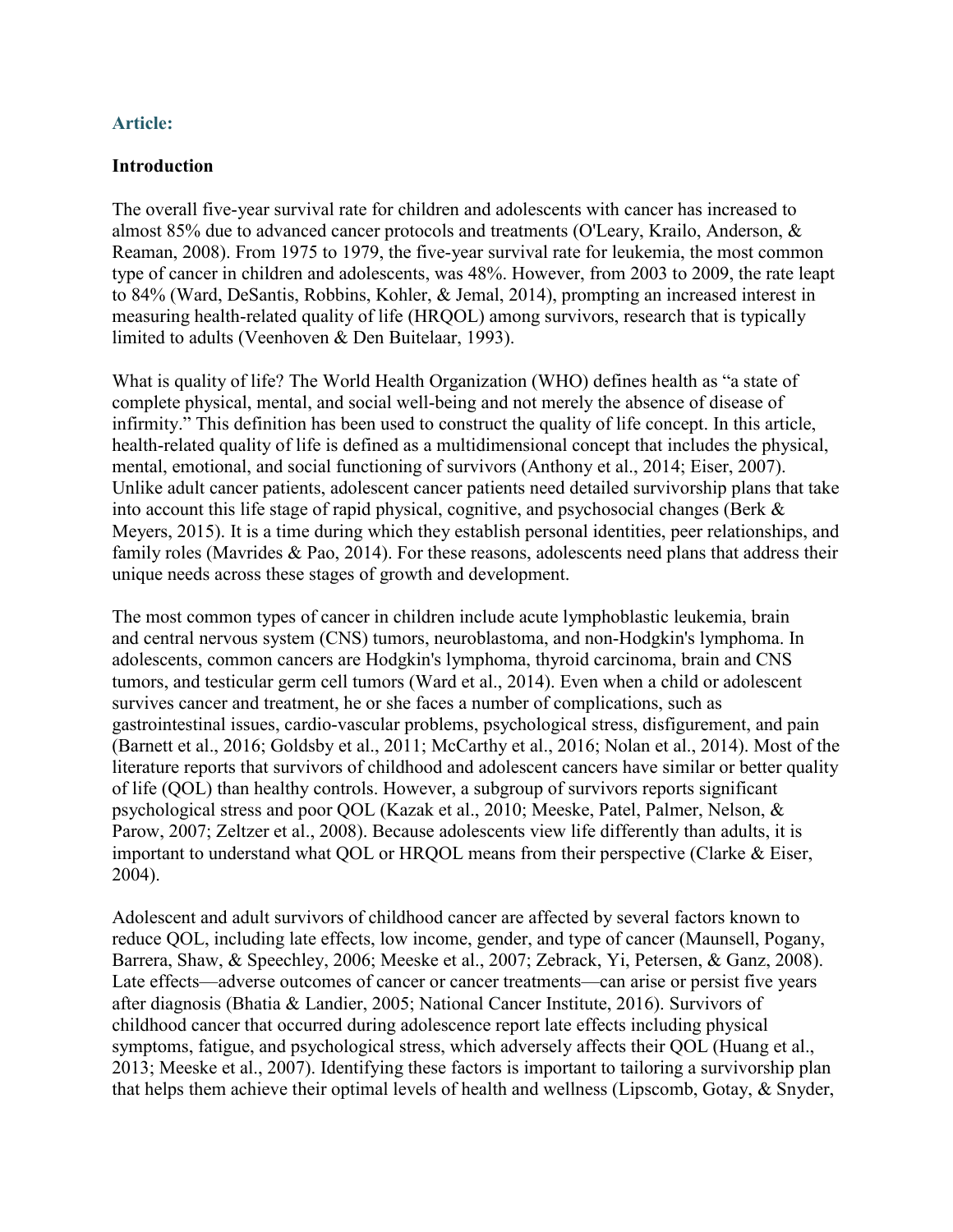### **Article:**

### **Introduction**

The overall five-year survival rate for children and adolescents with cancer has increased to almost 85% due to advanced cancer protocols and treatments (O'Leary, Krailo, Anderson, & Reaman, 2008). From 1975 to 1979, the five-year survival rate for leukemia, the most common type of cancer in children and adolescents, was 48%. However, from 2003 to 2009, the rate leapt to 84% (Ward, DeSantis, Robbins, Kohler, & Jemal, 2014), prompting an increased interest in measuring health-related quality of life (HRQOL) among survivors, research that is typically limited to adults (Veenhoven & Den Buitelaar, 1993).

What is quality of life? The World Health Organization (WHO) defines health as "a state of complete physical, mental, and social well-being and not merely the absence of disease of infirmity." This definition has been used to construct the quality of life concept. In this article, health-related quality of life is defined as a multidimensional concept that includes the physical, mental, emotional, and social functioning of survivors (Anthony et al., 2014; Eiser, 2007). Unlike adult cancer patients, adolescent cancer patients need detailed survivorship plans that take into account this life stage of rapid physical, cognitive, and psychosocial changes (Berk & Meyers, 2015). It is a time during which they establish personal identities, peer relationships, and family roles (Mavrides & Pao, 2014). For these reasons, adolescents need plans that address their unique needs across these stages of growth and development.

The most common types of cancer in children include acute lymphoblastic leukemia, brain and central nervous system (CNS) tumors, neuroblastoma, and non-Hodgkin's lymphoma. In adolescents, common cancers are Hodgkin's lymphoma, thyroid carcinoma, brain and CNS tumors, and testicular germ cell tumors (Ward et al., 2014). Even when a child or adolescent survives cancer and treatment, he or she faces a number of complications, such as gastrointestinal issues, cardio-vascular problems, psychological stress, disfigurement, and pain (Barnett et al., 2016; Goldsby et al., 2011; McCarthy et al., 2016; Nolan et al., 2014). Most of the literature reports that survivors of childhood and adolescent cancers have similar or better quality of life (QOL) than healthy controls. However, a subgroup of survivors reports significant psychological stress and poor QOL (Kazak et al., 2010; Meeske, Patel, Palmer, Nelson, & Parow, 2007; Zeltzer et al., 2008). Because adolescents view life differently than adults, it is important to understand what QOL or HRQOL means from their perspective (Clarke & Eiser, 2004).

Adolescent and adult survivors of childhood cancer are affected by several factors known to reduce QOL, including late effects, low income, gender, and type of cancer (Maunsell, Pogany, Barrera, Shaw, & Speechley, 2006; Meeske et al., 2007; Zebrack, Yi, Petersen, & Ganz, 2008). Late effects—adverse outcomes of cancer or cancer treatments—can arise or persist five years after diagnosis (Bhatia & Landier, 2005; National Cancer Institute, 2016). Survivors of childhood cancer that occurred during adolescence report late effects including physical symptoms, fatigue, and psychological stress, which adversely affects their QOL (Huang et al., 2013; Meeske et al., 2007). Identifying these factors is important to tailoring a survivorship plan that helps them achieve their optimal levels of health and wellness (Lipscomb, Gotay, & Snyder,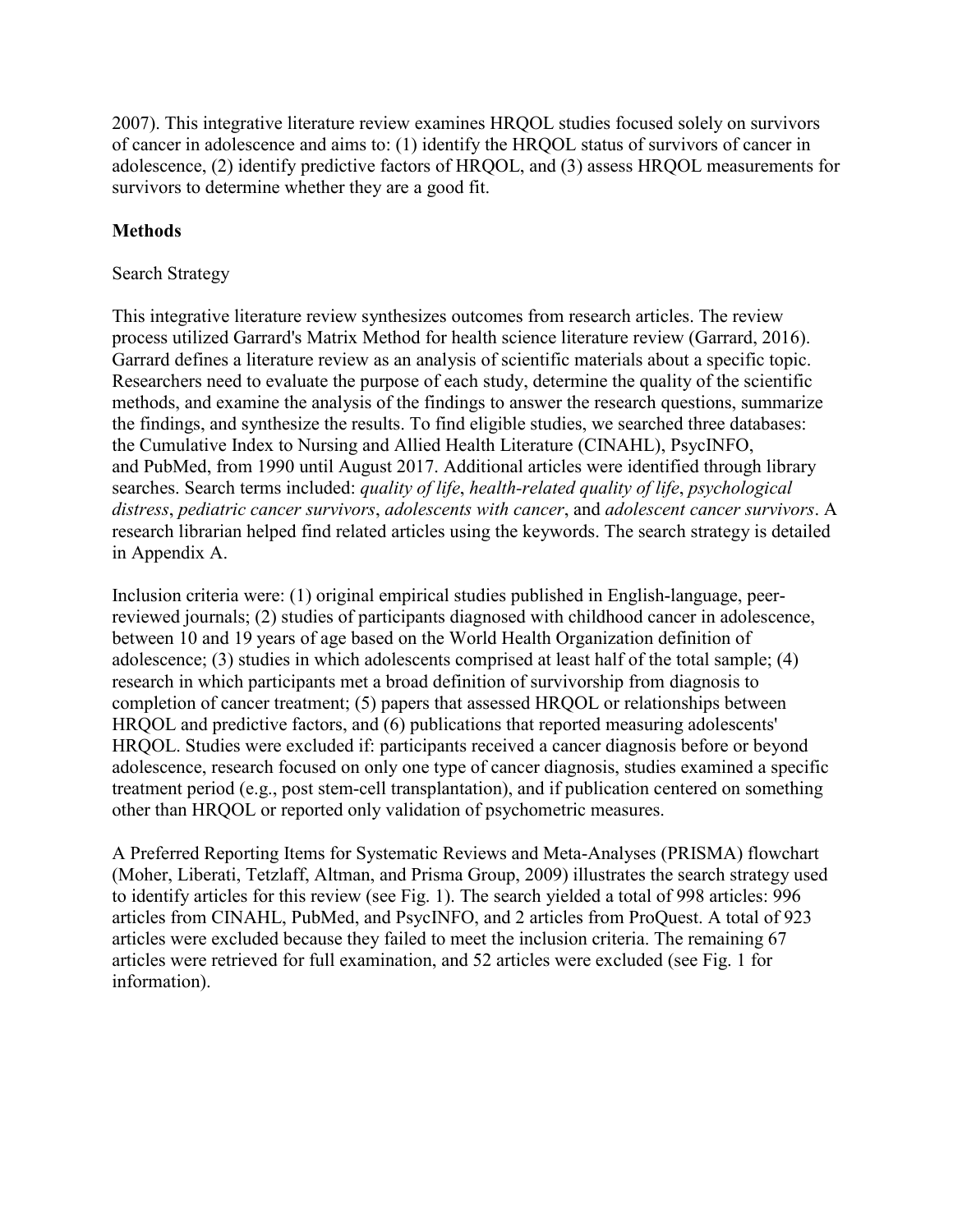2007). This integrative literature review examines HRQOL studies focused solely on survivors of cancer in adolescence and aims to: (1) identify the HRQOL status of survivors of cancer in adolescence, (2) identify predictive factors of HRQOL, and (3) assess HRQOL measurements for survivors to determine whether they are a good fit.

# **Methods**

### Search Strategy

This integrative literature review synthesizes outcomes from research articles. The review process utilized Garrard's Matrix Method for health science literature review (Garrard, 2016). Garrard defines a literature review as an analysis of scientific materials about a specific topic. Researchers need to evaluate the purpose of each study, determine the quality of the scientific methods, and examine the analysis of the findings to answer the research questions, summarize the findings, and synthesize the results. To find eligible studies, we searched three databases: the Cumulative Index to Nursing and Allied Health Literature (CINAHL), PsycINFO, and PubMed, from 1990 until August 2017. Additional articles were identified through library searches. Search terms included: *quality of life*, *health-related quality of life*, *psychological distress*, *pediatric cancer survivors*, *adolescents with cancer*, and *adolescent cancer survivors*. A research librarian helped find related articles using the keywords. The search strategy is detailed in Appendix A.

Inclusion criteria were: (1) original empirical studies published in English-language, peerreviewed journals; (2) studies of participants diagnosed with childhood cancer in adolescence, between 10 and 19 years of age based on the World Health Organization definition of adolescence; (3) studies in which adolescents comprised at least half of the total sample; (4) research in which participants met a broad definition of survivorship from diagnosis to completion of cancer treatment; (5) papers that assessed HRQOL or relationships between HRQOL and predictive factors, and (6) publications that reported measuring adolescents' HRQOL. Studies were excluded if: participants received a cancer diagnosis before or beyond adolescence, research focused on only one type of cancer diagnosis, studies examined a specific treatment period (e.g., post stem-cell transplantation), and if publication centered on something other than HRQOL or reported only validation of psychometric measures.

A Preferred Reporting Items for Systematic Reviews and Meta-Analyses (PRISMA) flowchart (Moher, Liberati, Tetzlaff, Altman, and Prisma Group, 2009) illustrates the search strategy used to identify articles for this review (see Fig. 1). The search yielded a total of 998 articles: 996 articles from CINAHL, PubMed, and PsycINFO, and 2 articles from ProQuest. A total of 923 articles were excluded because they failed to meet the inclusion criteria. The remaining 67 articles were retrieved for full examination, and 52 articles were excluded (see Fig. 1 for information).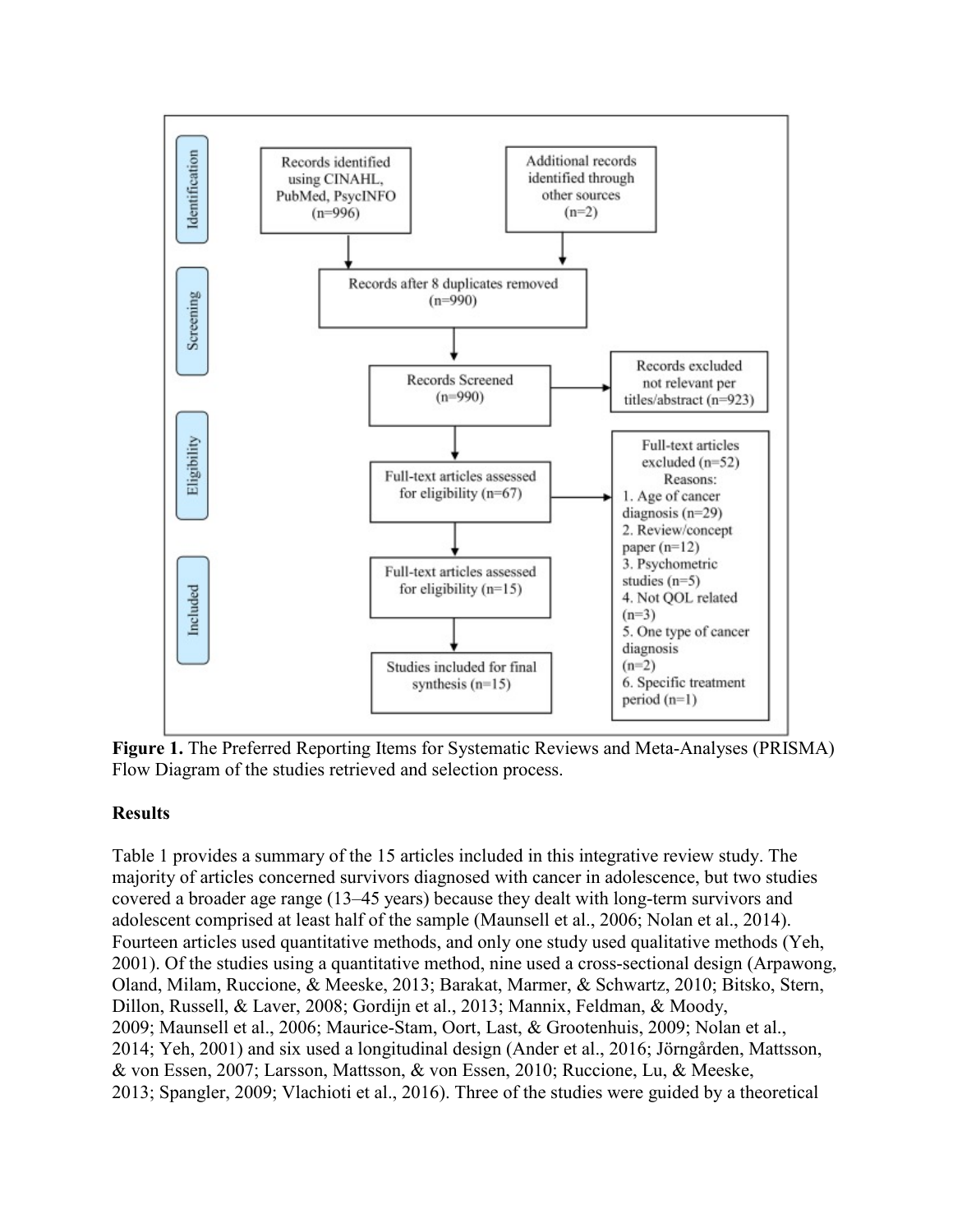

**Figure 1.** The Preferred Reporting Items for Systematic Reviews and Meta-Analyses (PRISMA) Flow Diagram of the studies retrieved and selection process.

## **Results**

Table 1 provides a summary of the 15 articles included in this integrative review study. The majority of articles concerned survivors diagnosed with cancer in adolescence, but two studies covered a broader age range (13–45 years) because they dealt with long-term survivors and adolescent comprised at least half of the sample (Maunsell et al., 2006; Nolan et al., 2014). Fourteen articles used quantitative methods, and only one study used qualitative methods (Yeh, 2001). Of the studies using a quantitative method, nine used a cross-sectional design (Arpawong, Oland, Milam, Ruccione, & Meeske, 2013; Barakat, Marmer, & Schwartz, 2010; Bitsko, Stern, Dillon, Russell, & Laver, 2008; Gordijn et al., 2013; Mannix, Feldman, & Moody, 2009; Maunsell et al., 2006; Maurice-Stam, Oort, Last, & Grootenhuis, 2009; Nolan et al., 2014; Yeh, 2001) and six used a longitudinal design (Ander et al., 2016; Jörngården, Mattsson, & von Essen, 2007; Larsson, Mattsson, & von Essen, 2010; Ruccione, Lu, & Meeske, 2013; Spangler, 2009; Vlachioti et al., 2016). Three of the studies were guided by a theoretical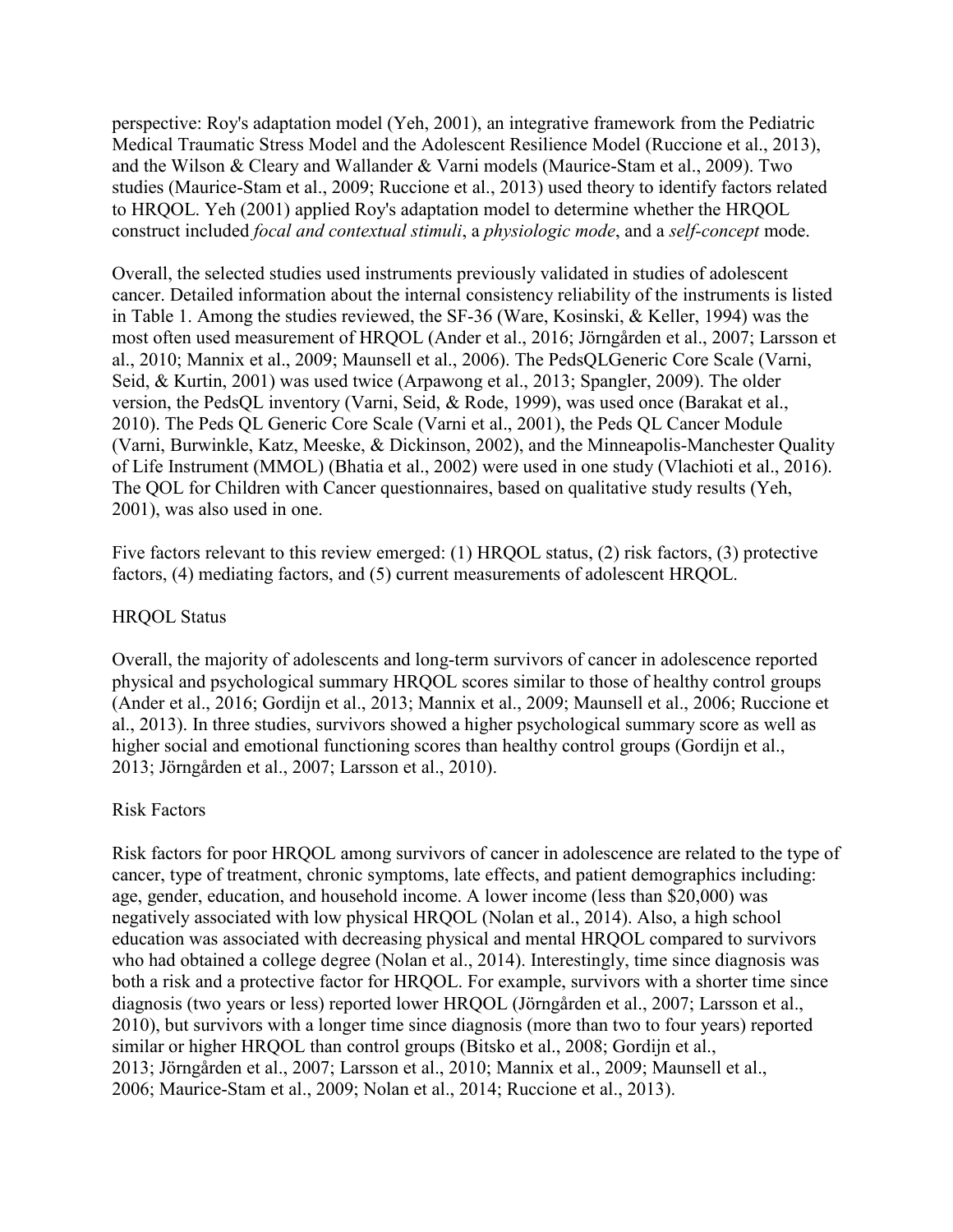perspective: Roy's adaptation model (Yeh, 2001), an integrative framework from the Pediatric Medical Traumatic Stress Model and the Adolescent Resilience Model (Ruccione et al., 2013), and the Wilson & Cleary and Wallander & Varni models (Maurice-Stam et al., 2009). Two studies (Maurice-Stam et al., 2009; Ruccione et al., 2013) used theory to identify factors related to HRQOL. Yeh (2001) applied Roy's adaptation model to determine whether the HRQOL construct included *focal and contextual stimuli*, a *physiologic mode*, and a *self-concept* mode.

Overall, the selected studies used instruments previously validated in studies of adolescent cancer. Detailed information about the internal consistency reliability of the instruments is listed in Table 1. Among the studies reviewed, the SF-36 (Ware, Kosinski, & Keller, 1994) was the most often used measurement of HRQOL (Ander et al., 2016; Jörngården et al., 2007; Larsson et al., 2010; Mannix et al., 2009; Maunsell et al., 2006). The PedsQLGeneric Core Scale (Varni, Seid, & Kurtin, 2001) was used twice (Arpawong et al., 2013; Spangler, 2009). The older version, the PedsQL inventory (Varni, Seid, & Rode, 1999), was used once (Barakat et al., 2010). The Peds QL Generic Core Scale (Varni et al., 2001), the Peds QL Cancer Module (Varni, Burwinkle, Katz, Meeske, & Dickinson, 2002), and the Minneapolis-Manchester Quality of Life Instrument (MMOL) (Bhatia et al., 2002) were used in one study (Vlachioti et al., 2016). The QOL for Children with Cancer questionnaires, based on qualitative study results (Yeh, 2001), was also used in one.

Five factors relevant to this review emerged: (1) HRQOL status, (2) risk factors, (3) protective factors, (4) mediating factors, and (5) current measurements of adolescent HRQOL.

### HRQOL Status

Overall, the majority of adolescents and long-term survivors of cancer in adolescence reported physical and psychological summary HRQOL scores similar to those of healthy control groups (Ander et al., 2016; Gordijn et al., 2013; Mannix et al., 2009; Maunsell et al., 2006; Ruccione et al., 2013). In three studies, survivors showed a higher psychological summary score as well as higher social and emotional functioning scores than healthy control groups (Gordijn et al., 2013; Jörngården et al., 2007; Larsson et al., 2010).

#### Risk Factors

Risk factors for poor HRQOL among survivors of cancer in adolescence are related to the type of cancer, type of treatment, chronic symptoms, late effects, and patient demographics including: age, gender, education, and household income. A lower income (less than \$20,000) was negatively associated with low physical HRQOL (Nolan et al., 2014). Also, a high school education was associated with decreasing physical and mental HRQOL compared to survivors who had obtained a college degree (Nolan et al., 2014). Interestingly, time since diagnosis was both a risk and a protective factor for HRQOL. For example, survivors with a shorter time since diagnosis (two years or less) reported lower HRQOL (Jörngården et al., 2007; Larsson et al., 2010), but survivors with a longer time since diagnosis (more than two to four years) reported similar or higher HRQOL than control groups (Bitsko et al., 2008; Gordijn et al., 2013; Jörngården et al., 2007; Larsson et al., 2010; Mannix et al., 2009; Maunsell et al., 2006; Maurice-Stam et al., 2009; Nolan et al., 2014; Ruccione et al., 2013).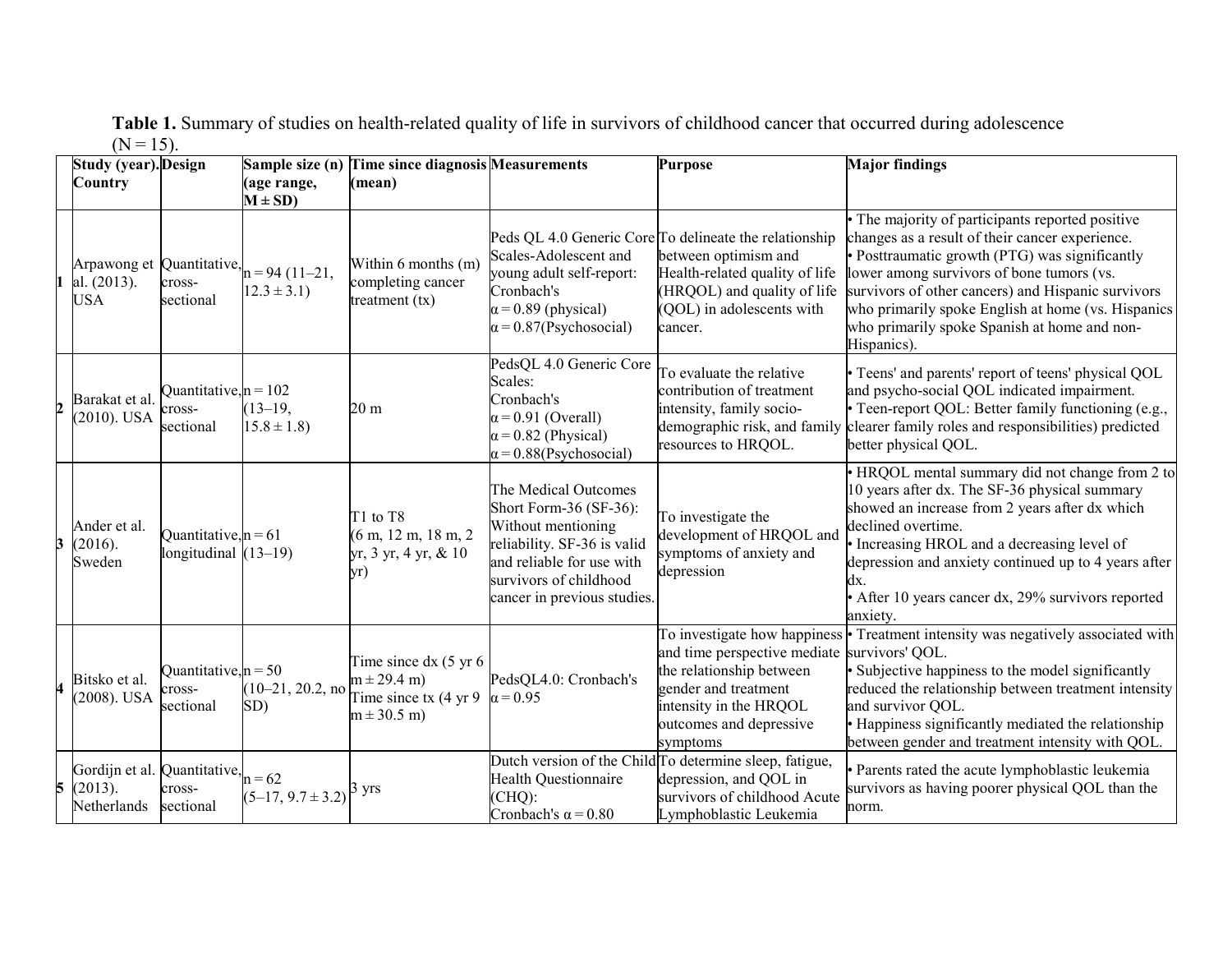| Table 1. Summary of studies on health-related quality of life in survivors of childhood cancer that occurred during adolescence |
|---------------------------------------------------------------------------------------------------------------------------------|
| $(N = 15)$ .                                                                                                                    |

|   | Study (year). Design                     |                                                  |                                                    | Sample size (n) Time since diagnosis Measurements                                         |                                                                                                                                                                                           | <b>Purpose</b>                                                                                                                                                                          | <b>Major findings</b>                                                                                                                                                                                                                                                                                                                                                       |
|---|------------------------------------------|--------------------------------------------------|----------------------------------------------------|-------------------------------------------------------------------------------------------|-------------------------------------------------------------------------------------------------------------------------------------------------------------------------------------------|-----------------------------------------------------------------------------------------------------------------------------------------------------------------------------------------|-----------------------------------------------------------------------------------------------------------------------------------------------------------------------------------------------------------------------------------------------------------------------------------------------------------------------------------------------------------------------------|
|   | Country                                  |                                                  | age range,<br>$M \pm SD$ )                         | (mean)                                                                                    |                                                                                                                                                                                           |                                                                                                                                                                                         |                                                                                                                                                                                                                                                                                                                                                                             |
|   | Arpawong et<br>al. (2013).<br><b>USA</b> | cross-<br>sectional                              | Quantitative, $n = 94 (11-21,$<br>$12.3 \pm 3.1$ ) | Within 6 months (m)<br>completing cancer<br>treatment $(tx)$                              | Scales-Adolescent and<br>young adult self-report:<br>Cronbach's<br>$\alpha$ = 0.89 (physical)<br>$\alpha$ = 0.87(Psychosocial)                                                            | Peds QL 4.0 Generic Core To delineate the relationship<br>between optimism and<br>Health-related quality of life<br>(HRQOL) and quality of life<br>(QOL) in adolescents with<br>cancer. | The majority of participants reported positive<br>changes as a result of their cancer experience.<br>· Posttraumatic growth (PTG) was significantly<br>lower among survivors of bone tumors (vs.<br>survivors of other cancers) and Hispanic survivors<br>who primarily spoke English at home (vs. Hispanics<br>who primarily spoke Spanish at home and non-<br>Hispanics). |
|   | Barakat et al.<br>$(2010)$ . USA         | Ouantitative, $n = 102$<br>cross-<br>sectional   | $(13-19,$<br>$15.8 \pm 1.8$ )                      | 20 <sub>m</sub>                                                                           | PedsQL 4.0 Generic Core<br>Scales:<br>Cronbach's<br>$\alpha$ = 0.91 (Overall)<br>$\alpha$ = 0.82 (Physical)<br>$\alpha$ = 0.88(Psychosocial)                                              | To evaluate the relative<br>contribution of treatment<br>intensity, family socio-<br>demographic risk, and family<br>resources to HRQOL.                                                | • Teens' and parents' report of teens' physical QOL<br>and psycho-social QOL indicated impairment.<br>• Teen-report QOL: Better family functioning (e.g.,<br>clearer family roles and responsibilities) predicted<br>better physical QOL.                                                                                                                                   |
| 3 | Ander et al.<br>(2016).<br>Sweden        | Quantitative, $n = 61$<br>longitudinal $(13-19)$ |                                                    | T1 to T8<br>$(6 \text{ m}, 12 \text{ m}, 18 \text{ m}, 2)$<br>yr, 3 yr, 4 yr, & 10<br>yr) | The Medical Outcomes<br>Short Form-36 (SF-36):<br>Without mentioning<br>reliability. SF-36 is valid<br>and reliable for use with<br>survivors of childhood<br>cancer in previous studies. | To investigate the<br>development of HRQOL and<br>symptoms of anxiety and<br>depression                                                                                                 | • HRQOL mental summary did not change from 2 to<br>10 years after dx. The SF-36 physical summary<br>showed an increase from 2 years after dx which<br>declined overtime.<br>• Increasing HROL and a decreasing level of<br>depression and anxiety continued up to 4 years after<br>dx.<br>• After 10 years cancer dx, 29% survivors reported<br>anxiety.                    |
|   | Bitsko et al.<br>(2008). USA             | Quantitative, $n = 50$<br>cross-<br>sectional    | $(10-21, 20.2, no$<br>SD)                          | Time since $dx$ (5 yr 6)<br>$m \pm 29.4$ m)<br>Time since $tx(4 yr 9$<br>$m \pm 30.5$ m)  | PedsQL4.0: Cronbach's<br>$\alpha$ = 0.95                                                                                                                                                  | and time perspective mediate survivors' QOL.<br>the relationship between<br>gender and treatment<br>intensity in the HRQOL<br>outcomes and depressive<br>symptoms                       | To investigate how happiness • Treatment intensity was negatively associated with<br>· Subjective happiness to the model significantly<br>reduced the relationship between treatment intensity<br>and survivor QOL.<br>• Happiness significantly mediated the relationship<br>between gender and treatment intensity with QOL.                                              |
| 5 | Gordijn et al.<br>(2013).<br>Netherlands | Quantitative,<br>cross-<br>sectional             | $n = 62$<br>$(5-17, 9.7 \pm 3.2)$                  | 3 yrs                                                                                     | Health Questionnaire<br>(CHQ):<br>Cronbach's $\alpha$ = 0.80                                                                                                                              | Dutch version of the Child To determine sleep, fatigue,<br>depression, and QOL in<br>survivors of childhood Acute<br>Lymphoblastic Leukemia                                             | Parents rated the acute lymphoblastic leukemia<br>survivors as having poorer physical QOL than the<br>norm.                                                                                                                                                                                                                                                                 |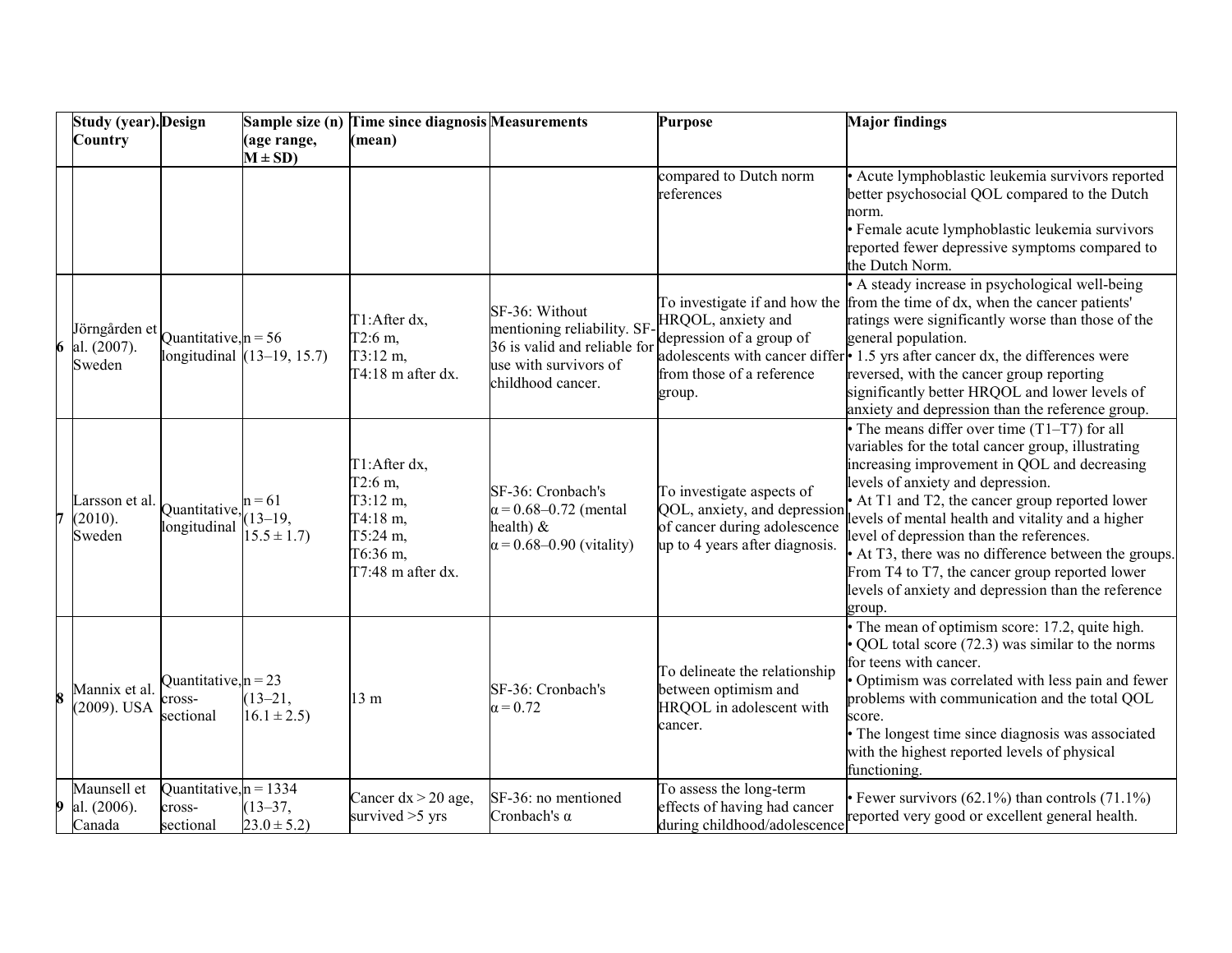|   | <b>Study (year). Design</b>            |                                                 |                                         | Sample size (n) Time since diagnosis Measurements                                                   |                                                                                                                            | <b>Purpose</b>                                                                                                              | <b>Major findings</b>                                                                                                                                                                                                                                                                                                                                                                                                                                                                                                    |
|---|----------------------------------------|-------------------------------------------------|-----------------------------------------|-----------------------------------------------------------------------------------------------------|----------------------------------------------------------------------------------------------------------------------------|-----------------------------------------------------------------------------------------------------------------------------|--------------------------------------------------------------------------------------------------------------------------------------------------------------------------------------------------------------------------------------------------------------------------------------------------------------------------------------------------------------------------------------------------------------------------------------------------------------------------------------------------------------------------|
|   | Country                                |                                                 | (age range,<br>$M \pm SD$ )             | (mean)                                                                                              |                                                                                                                            |                                                                                                                             |                                                                                                                                                                                                                                                                                                                                                                                                                                                                                                                          |
|   |                                        |                                                 |                                         |                                                                                                     |                                                                                                                            | compared to Dutch norm<br>references                                                                                        | Acute lymphoblastic leukemia survivors reported<br>better psychosocial QOL compared to the Dutch<br>norm.<br>· Female acute lymphoblastic leukemia survivors<br>reported fewer depressive symptoms compared to<br>the Dutch Norm.                                                                                                                                                                                                                                                                                        |
| 6 | Jörngården et<br>al. (2007).<br>Sweden | Quantitative, $n = 56$                          | longitudinal $(13-19, 15.7)$            | T1:After dx,<br>T2:6 m,<br>$T3:12 \; m,$<br>T4:18 m after dx.                                       | SF-36: Without<br>mentioning reliability. SF<br>36 is valid and reliable for<br>use with survivors of<br>childhood cancer. | HRQOL, anxiety and<br>depression of a group of<br>from those of a reference<br>group.                                       | • A steady increase in psychological well-being<br>To investigate if and how the from the time of dx, when the cancer patients'<br>ratings were significantly worse than those of the<br>general population.<br>adolescents with cancer differ • 1.5 yrs after cancer dx, the differences were<br>reversed, with the cancer group reporting<br>significantly better HRQOL and lower levels of<br>anxiety and depression than the reference group.                                                                        |
| 7 | Larsson et al.<br>(2010).<br>Sweden    | Quantitative,<br>longitudinal                   | $n = 61$<br>$(13-19,$<br>$15.5 \pm 1.7$ | T1:After dx,<br>T2:6 m,<br>$T3:12 \; m,$<br>T4:18 m,<br>T5:24 m,<br>T6:36 m,<br>$T7:48$ m after dx. | SF-36: Cronbach's<br>$\alpha$ = 0.68–0.72 (mental<br>health) $\&$<br>$\alpha$ = 0.68–0.90 (vitality)                       | To investigate aspects of<br>QOL, anxiety, and depression<br>of cancer during adolescence<br>up to 4 years after diagnosis. | • The means differ over time $(T1-T7)$ for all<br>variables for the total cancer group, illustrating<br>increasing improvement in QOL and decreasing<br>levels of anxiety and depression.<br>• At T1 and T2, the cancer group reported lower<br>levels of mental health and vitality and a higher<br>level of depression than the references.<br>• At T3, there was no difference between the groups.<br>From T4 to T7, the cancer group reported lower<br>levels of anxiety and depression than the reference<br>group. |
| 8 | Mannix et al.<br>2009). USA            | Quantitative, $n = 23$<br>cross-<br>sectional   | $(13 - 21,$<br>$16.1 \pm 2.5$           | 13 <sub>m</sub>                                                                                     | SF-36: Cronbach's<br>$\alpha$ = 0.72                                                                                       | To delineate the relationship<br>between optimism and<br>HRQOL in adolescent with<br>cancer.                                | The mean of optimism score: 17.2, quite high.<br>QOL total score (72.3) was similar to the norms<br>for teens with cancer.<br>Optimism was correlated with less pain and fewer<br>problems with communication and the total QOL<br>score.<br>• The longest time since diagnosis was associated<br>with the highest reported levels of physical<br>functioning.                                                                                                                                                           |
| 9 | Maunsell et<br>al. (2006).<br>Canada   | Quantitative, $n = 1334$<br>cross-<br>sectional | $(13 - 37,$<br>$23.0 \pm 5.2$           | Cancer $dx > 20$ age,<br>survived $>5$ yrs                                                          | SF-36: no mentioned<br>Cronbach's $\alpha$                                                                                 | To assess the long-term<br>effects of having had cancer<br>during childhood/adolescence                                     | Fewer survivors $(62.1\%)$ than controls $(71.1\%)$<br>reported very good or excellent general health.                                                                                                                                                                                                                                                                                                                                                                                                                   |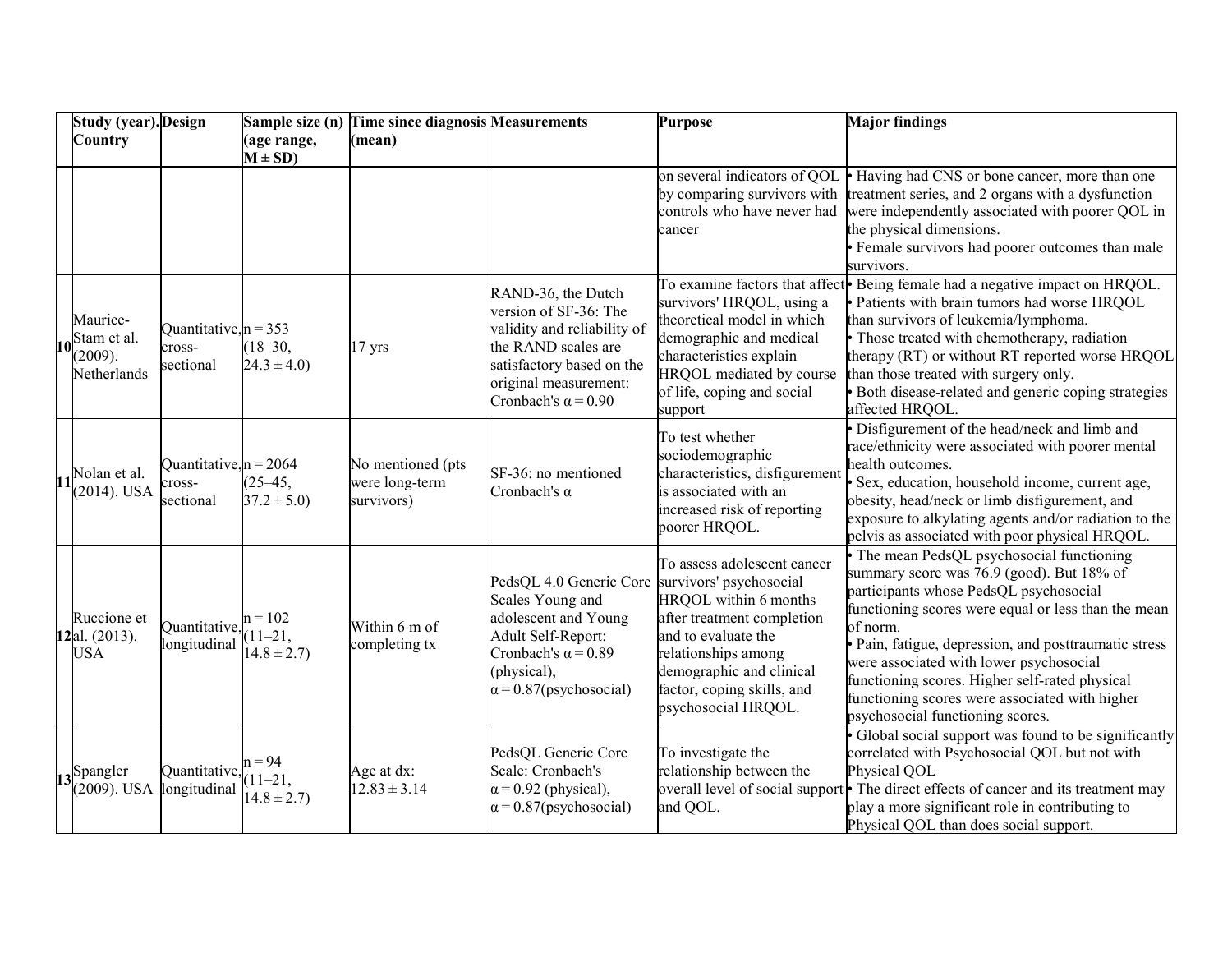|    | <b>Study (year). Design</b>                       |                                                 |                                            | Sample size (n) Time since diagnosis Measurements |                                                                                                                                                                                       | <b>Purpose</b>                                                                                                                                                                                                                               | <b>Major findings</b>                                                                                                                                                                                                                                                                                                                                                                                                                          |
|----|---------------------------------------------------|-------------------------------------------------|--------------------------------------------|---------------------------------------------------|---------------------------------------------------------------------------------------------------------------------------------------------------------------------------------------|----------------------------------------------------------------------------------------------------------------------------------------------------------------------------------------------------------------------------------------------|------------------------------------------------------------------------------------------------------------------------------------------------------------------------------------------------------------------------------------------------------------------------------------------------------------------------------------------------------------------------------------------------------------------------------------------------|
|    | Country                                           |                                                 | (age range,<br>$M \pm SD$ )                | (mean)                                            |                                                                                                                                                                                       |                                                                                                                                                                                                                                              |                                                                                                                                                                                                                                                                                                                                                                                                                                                |
|    |                                                   |                                                 |                                            |                                                   |                                                                                                                                                                                       | on several indicators of QOL<br>by comparing survivors with<br>controls who have never had<br>cancer                                                                                                                                         | • Having had CNS or bone cancer, more than one<br>treatment series, and 2 organs with a dysfunction<br>were independently associated with poorer QOL in<br>the physical dimensions.<br>• Female survivors had poorer outcomes than male<br>survivors.                                                                                                                                                                                          |
| 10 | Maurice-<br>Stam et al.<br>(2009).<br>Netherlands | Quantitative, $n = 353$<br>cross-<br>sectional  | $(18 - 30,$<br>$24.3 \pm 4.0$              | $17$ yrs                                          | RAND-36, the Dutch<br>version of SF-36: The<br>validity and reliability of<br>the RAND scales are<br>satisfactory based on the<br>original measurement:<br>Cronbach's $\alpha$ = 0.90 | survivors' HRQOL, using a<br>theoretical model in which<br>demographic and medical<br>characteristics explain<br>HRQOL mediated by course<br>of life, coping and social<br>support                                                           | To examine factors that affect Being female had a negative impact on HRQOL.<br>· Patients with brain tumors had worse HRQOL<br>than survivors of leukemia/lymphoma.<br>• Those treated with chemotherapy, radiation<br>therapy (RT) or without RT reported worse HRQOL<br>than those treated with surgery only.<br>· Both disease-related and generic coping strategies<br>affected HRQOL.                                                     |
|    | Nolan et al.<br>$(2014)$ . USA                    | Quantitative, $n = 2064$<br>cross-<br>sectional | $(25 - 45,$<br>$37.2 \pm 5.0$              | No mentioned (pts<br>were long-term<br>survivors) | SF-36: no mentioned<br>Cronbach's $\alpha$                                                                                                                                            | To test whether<br>sociodemographic<br>characteristics, disfigurement<br>is associated with an<br>increased risk of reporting<br>poorer HRQOL.                                                                                               | · Disfigurement of the head/neck and limb and<br>race/ethnicity were associated with poorer mental<br>health outcomes.<br>· Sex, education, household income, current age,<br>obesity, head/neck or limb disfigurement, and<br>exposure to alkylating agents and/or radiation to the<br>pelvis as associated with poor physical HRQOL.                                                                                                         |
|    | Ruccione et<br>12al. (2013).<br><b>USA</b>        | Quantitative,<br>longitudinal                   | $n = 102$<br>$(11-21,$<br>$14.8 \pm 2.7$ ) | Within 6 m of<br>completing tx                    | PedsQL 4.0 Generic Core<br>Scales Young and<br>adolescent and Young<br>Adult Self-Report:<br>Cronbach's $\alpha$ = 0.89<br>(physical),<br>$\alpha$ = 0.87(psychosocial)               | To assess adolescent cancer<br>survivors' psychosocial<br>HRQOL within 6 months<br>after treatment completion<br>and to evaluate the<br>relationships among<br>demographic and clinical<br>factor, coping skills, and<br>psychosocial HRQOL. | The mean PedsQL psychosocial functioning<br>summary score was 76.9 (good). But 18% of<br>participants whose PedsQL psychosocial<br>functioning scores were equal or less than the mean<br>of norm.<br>· Pain, fatigue, depression, and posttraumatic stress<br>were associated with lower psychosocial<br>functioning scores. Higher self-rated physical<br>functioning scores were associated with higher<br>psychosocial functioning scores. |
|    | $13$ Spangler<br>(2009). USA                      | Quantitative,<br>longitudinal                   | $n = 94$<br>$(11-21,$<br>$14.8 \pm 2.7$ )  | Age at dx:<br>$12.83 \pm 3.14$                    | PedsQL Generic Core<br>Scale: Cronbach's<br>$\alpha$ = 0.92 (physical),<br>$\alpha$ = 0.87(psychosocial)                                                                              | To investigate the<br>relationship between the<br>and QOL.                                                                                                                                                                                   | Global social support was found to be significantly<br>correlated with Psychosocial QOL but not with<br>Physical QOL<br>overall level of social support • The direct effects of cancer and its treatment may<br>play a more significant role in contributing to<br>Physical QOL than does social support.                                                                                                                                      |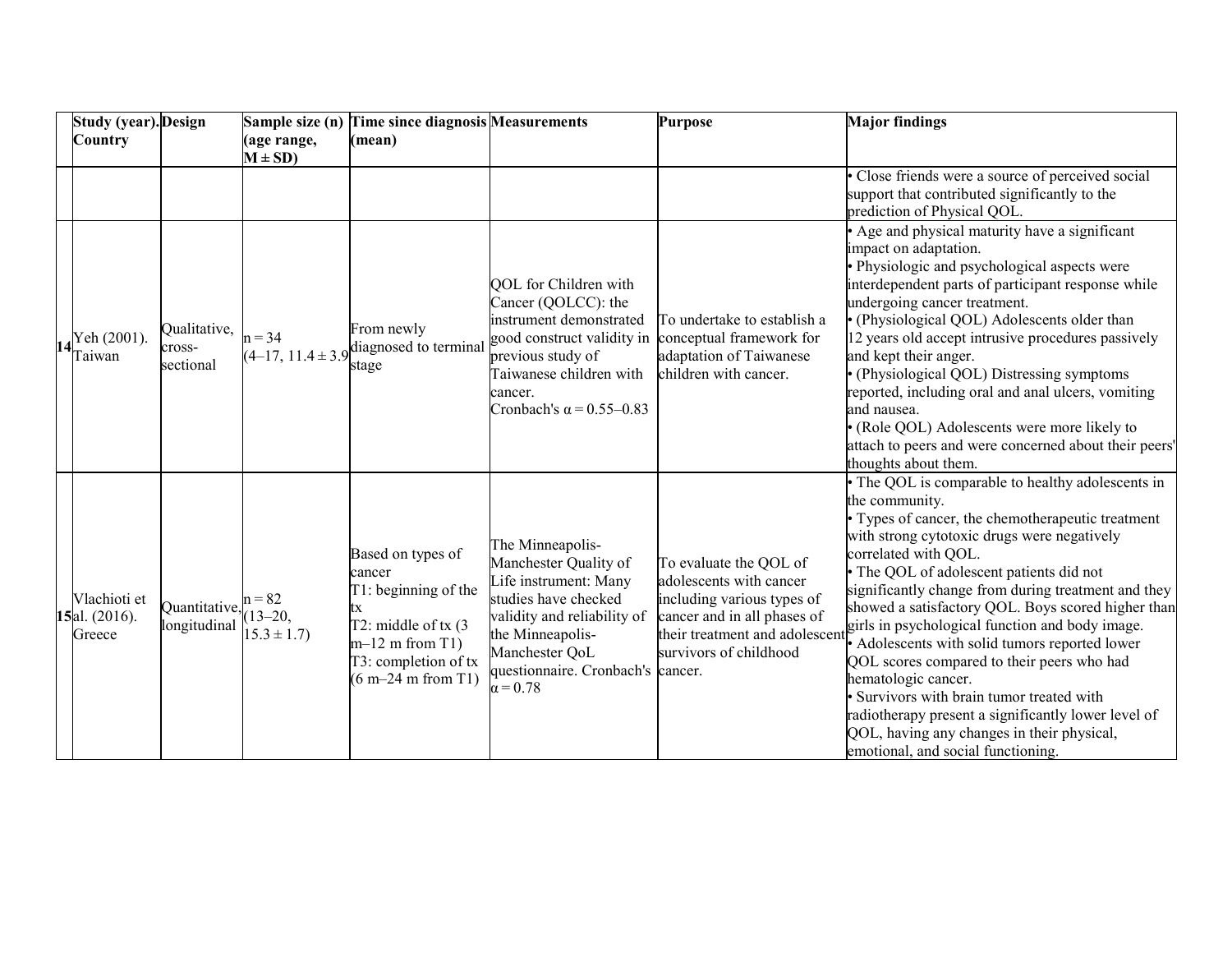| <b>Study (year).</b> Design             |                                     | Sample size (n)                             | <b>Time since diagnosis Measurements</b>                                                                                                                |                                                                                                                                                                                                                         | <b>Purpose</b>                                                                                                                                                             | <b>Major findings</b>                                                                                                                                                                                                                                                                                                                                                                                                                                                                                                                                                                                                                                                                                                |
|-----------------------------------------|-------------------------------------|---------------------------------------------|---------------------------------------------------------------------------------------------------------------------------------------------------------|-------------------------------------------------------------------------------------------------------------------------------------------------------------------------------------------------------------------------|----------------------------------------------------------------------------------------------------------------------------------------------------------------------------|----------------------------------------------------------------------------------------------------------------------------------------------------------------------------------------------------------------------------------------------------------------------------------------------------------------------------------------------------------------------------------------------------------------------------------------------------------------------------------------------------------------------------------------------------------------------------------------------------------------------------------------------------------------------------------------------------------------------|
| Country                                 |                                     | (age range,<br>$M \pm SD$                   | (mean)                                                                                                                                                  |                                                                                                                                                                                                                         |                                                                                                                                                                            |                                                                                                                                                                                                                                                                                                                                                                                                                                                                                                                                                                                                                                                                                                                      |
|                                         |                                     |                                             |                                                                                                                                                         |                                                                                                                                                                                                                         |                                                                                                                                                                            | Close friends were a source of perceived social<br>support that contributed significantly to the<br>prediction of Physical QOL.                                                                                                                                                                                                                                                                                                                                                                                                                                                                                                                                                                                      |
| Yeh (2001).<br>[aiwan                   | Qualitative,<br>cross-<br>sectional | $n = 34$                                    | From newly<br>$(4-17, 11.4 \pm 3.9)$ diagnosed to terminal<br>stage                                                                                     | <b>OOL</b> for Children with<br>Cancer (QOLCC): the<br>instrument demonstrated<br>good construct validity in<br>previous study of<br>Taiwanese children with<br>cancer.<br>Cronbach's $\alpha$ = 0.55–0.83              | To undertake to establish a<br>conceptual framework for<br>adaptation of Taiwanese<br>children with cancer.                                                                | Age and physical maturity have a significant<br>impact on adaptation.<br>· Physiologic and psychological aspects were<br>interdependent parts of participant response while<br>undergoing cancer treatment.<br>· (Physiological QOL) Adolescents older than<br>12 years old accept intrusive procedures passively<br>and kept their anger.<br>• (Physiological QOL) Distressing symptoms<br>reported, including oral and anal ulcers, vomiting<br>and nausea.<br>· (Role QOL) Adolescents were more likely to<br>attach to peers and were concerned about their peers'<br>thoughts about them.                                                                                                                       |
| Vlachioti et<br>15al. (2016).<br>Greece | Quantitative,<br>longitudinal       | $n = 82$<br>$(13 - 20,$<br>$15.3 \pm 1.7$ ) | Based on types of<br>cancer<br>T1: beginning of the<br>tx<br>T2: middle of $tx(3)$<br>$m-12$ m from T1)<br>T3: completion of tx<br>$(6 m-24 m from T1)$ | The Minneapolis-<br>Manchester Quality of<br>Life instrument: Many<br>studies have checked<br>validity and reliability of<br>the Minneapolis-<br>Manchester QoL<br>questionnaire. Cronbach's cancer.<br>$\alpha = 0.78$ | To evaluate the QOL of<br>adolescents with cancer<br>including various types of<br>cancer and in all phases of<br>their treatment and adolescent<br>survivors of childhood | • The QOL is comparable to healthy adolescents in<br>the community.<br>Types of cancer, the chemotherapeutic treatment<br>with strong cytotoxic drugs were negatively<br>correlated with QOL.<br>· The QOL of adolescent patients did not<br>significantly change from during treatment and they<br>showed a satisfactory QOL. Boys scored higher than<br>girls in psychological function and body image.<br>Adolescents with solid tumors reported lower<br>QOL scores compared to their peers who had<br>hematologic cancer.<br>Survivors with brain tumor treated with<br>radiotherapy present a significantly lower level of<br>QOL, having any changes in their physical,<br>emotional, and social functioning. |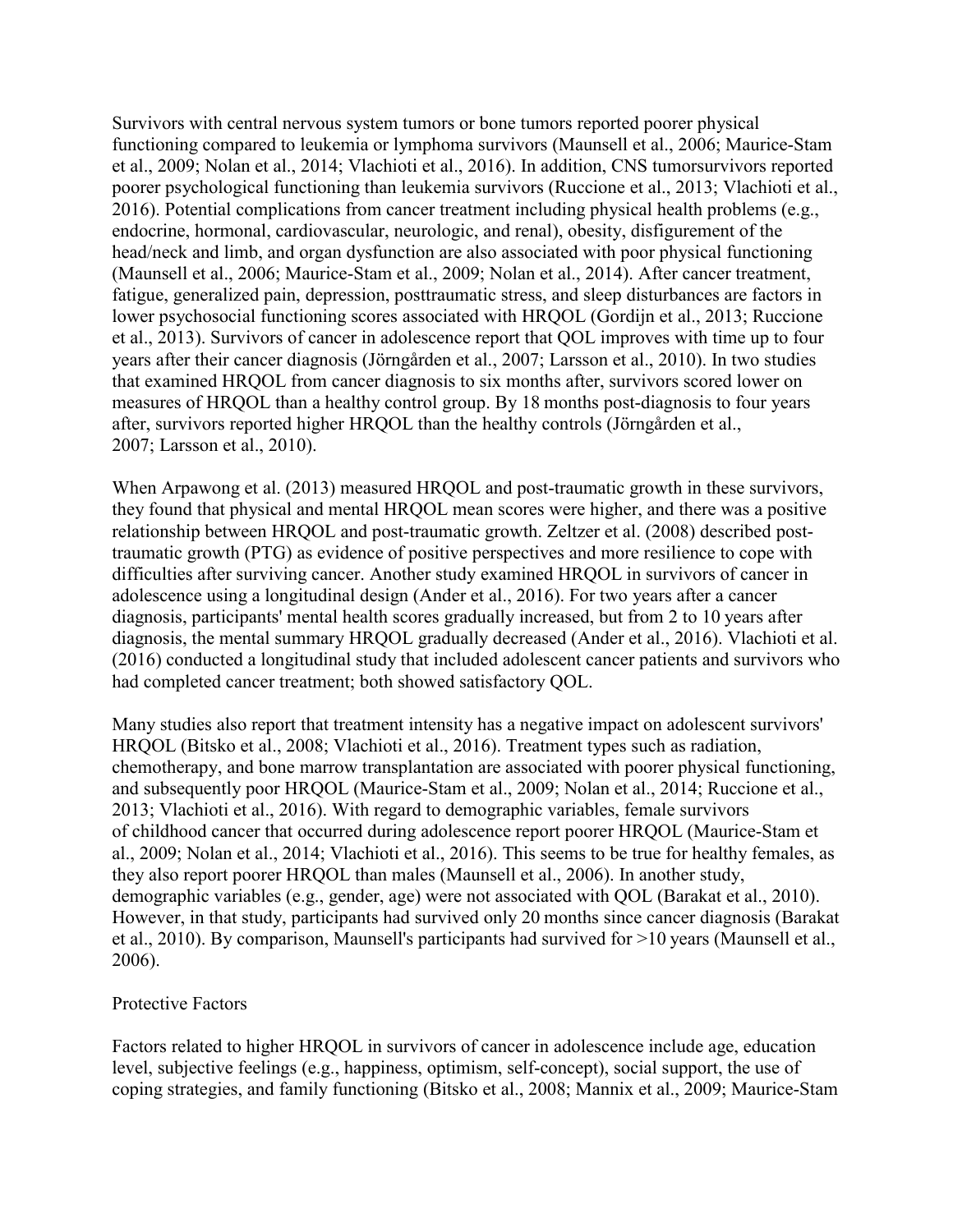Survivors with central nervous system tumors or bone tumors reported poorer physical functioning compared to leukemia or lymphoma survivors (Maunsell et al., 2006; Maurice-Stam et al., 2009; Nolan et al., 2014; Vlachioti et al., 2016). In addition, CNS tumorsurvivors reported poorer psychological functioning than leukemia survivors (Ruccione et al., 2013; Vlachioti et al., 2016). Potential complications from cancer treatment including physical health problems (e.g., endocrine, hormonal, cardiovascular, neurologic, and renal), obesity, disfigurement of the head/neck and limb, and organ dysfunction are also associated with poor physical functioning (Maunsell et al., 2006; Maurice-Stam et al., 2009; Nolan et al., 2014). After cancer treatment, fatigue, generalized pain, depression, posttraumatic stress, and sleep disturbances are factors in lower psychosocial functioning scores associated with HRQOL (Gordijn et al., 2013; Ruccione et al., 2013). Survivors of cancer in adolescence report that QOL improves with time up to four years after their cancer diagnosis (Jörngården et al., 2007; Larsson et al., 2010). In two studies that examined HRQOL from cancer diagnosis to six months after, survivors scored lower on measures of HRQOL than a healthy control group. By 18 months post-diagnosis to four years after, survivors reported higher HRQOL than the healthy controls (Jörngården et al., 2007; Larsson et al., 2010).

When Arpawong et al. (2013) measured HRQOL and post-traumatic growth in these survivors, they found that physical and mental HRQOL mean scores were higher, and there was a positive relationship between HRQOL and post-traumatic growth. Zeltzer et al. (2008) described posttraumatic growth (PTG) as evidence of positive perspectives and more resilience to cope with difficulties after surviving cancer. Another study examined HRQOL in survivors of cancer in adolescence using a longitudinal design (Ander et al., 2016). For two years after a cancer diagnosis, participants' mental health scores gradually increased, but from 2 to 10 years after diagnosis, the mental summary HRQOL gradually decreased (Ander et al., 2016). Vlachioti et al. (2016) conducted a longitudinal study that included adolescent cancer patients and survivors who had completed cancer treatment; both showed satisfactory QOL.

Many studies also report that treatment intensity has a negative impact on adolescent survivors' HRQOL (Bitsko et al., 2008; Vlachioti et al., 2016). Treatment types such as radiation, chemotherapy, and bone marrow transplantation are associated with poorer physical functioning, and subsequently poor HRQOL (Maurice-Stam et al., 2009; Nolan et al., 2014; Ruccione et al., 2013; Vlachioti et al., 2016). With regard to demographic variables, female survivors of childhood cancer that occurred during adolescence report poorer HRQOL (Maurice-Stam et al., 2009; Nolan et al., 2014; Vlachioti et al., 2016). This seems to be true for healthy females, as they also report poorer HRQOL than males (Maunsell et al., 2006). In another study, demographic variables (e.g., gender, age) were not associated with QOL (Barakat et al., 2010). However, in that study, participants had survived only 20 months since cancer diagnosis (Barakat et al., 2010). By comparison, Maunsell's participants had survived for >10 years (Maunsell et al., 2006).

#### Protective Factors

Factors related to higher HRQOL in survivors of cancer in adolescence include age, education level, subjective feelings (e.g., happiness, optimism, self-concept), social support, the use of coping strategies, and family functioning (Bitsko et al., 2008; Mannix et al., 2009; Maurice-Stam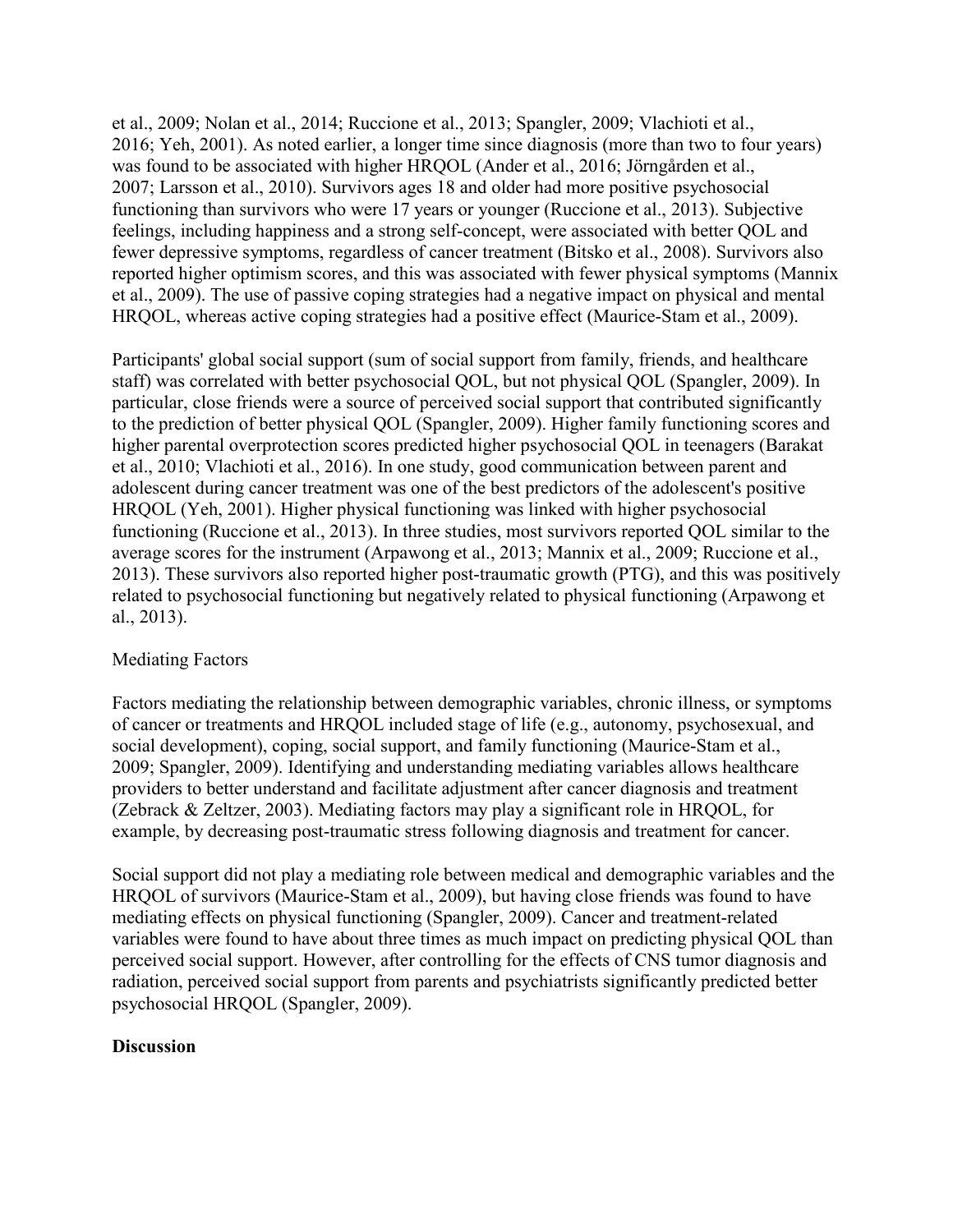et al., 2009; Nolan et al., 2014; Ruccione et al., 2013; Spangler, 2009; Vlachioti et al., 2016; Yeh, 2001). As noted earlier, a longer time since diagnosis (more than two to four years) was found to be associated with higher HRQOL (Ander et al., 2016; Jörngården et al., 2007; Larsson et al., 2010). Survivors ages 18 and older had more positive psychosocial functioning than survivors who were 17 years or younger (Ruccione et al., 2013). Subjective feelings, including happiness and a strong self-concept, were associated with better QOL and fewer depressive symptoms, regardless of cancer treatment (Bitsko et al., 2008). Survivors also reported higher optimism scores, and this was associated with fewer physical symptoms (Mannix et al., 2009). The use of passive coping strategies had a negative impact on physical and mental HRQOL, whereas active coping strategies had a positive effect (Maurice-Stam et al., 2009).

Participants' global social support (sum of social support from family, friends, and healthcare staff) was correlated with better psychosocial QOL, but not physical QOL (Spangler, 2009). In particular, close friends were a source of perceived social support that contributed significantly to the prediction of better physical QOL (Spangler, 2009). Higher family functioning scores and higher parental overprotection scores predicted higher psychosocial QOL in teenagers (Barakat et al., 2010; Vlachioti et al., 2016). In one study, good communication between parent and adolescent during cancer treatment was one of the best predictors of the adolescent's positive HRQOL (Yeh, 2001). Higher physical functioning was linked with higher psychosocial functioning (Ruccione et al., 2013). In three studies, most survivors reported QOL similar to the average scores for the instrument (Arpawong et al., 2013; Mannix et al., 2009; Ruccione et al., 2013). These survivors also reported higher post-traumatic growth (PTG), and this was positively related to psychosocial functioning but negatively related to physical functioning (Arpawong et al., 2013).

### Mediating Factors

Factors mediating the relationship between demographic variables, chronic illness, or symptoms of cancer or treatments and HRQOL included stage of life (e.g., autonomy, psychosexual, and social development), coping, social support, and family functioning (Maurice-Stam et al., 2009; Spangler, 2009). Identifying and understanding mediating variables allows healthcare providers to better understand and facilitate adjustment after cancer diagnosis and treatment (Zebrack & Zeltzer, 2003). Mediating factors may play a significant role in HRQOL, for example, by decreasing post-traumatic stress following diagnosis and treatment for cancer.

Social support did not play a mediating role between medical and demographic variables and the HRQOL of survivors (Maurice-Stam et al., 2009), but having close friends was found to have mediating effects on physical functioning (Spangler, 2009). Cancer and treatment-related variables were found to have about three times as much impact on predicting physical QOL than perceived social support. However, after controlling for the effects of CNS tumor diagnosis and radiation, perceived social support from parents and psychiatrists significantly predicted better psychosocial HRQOL (Spangler, 2009).

#### **Discussion**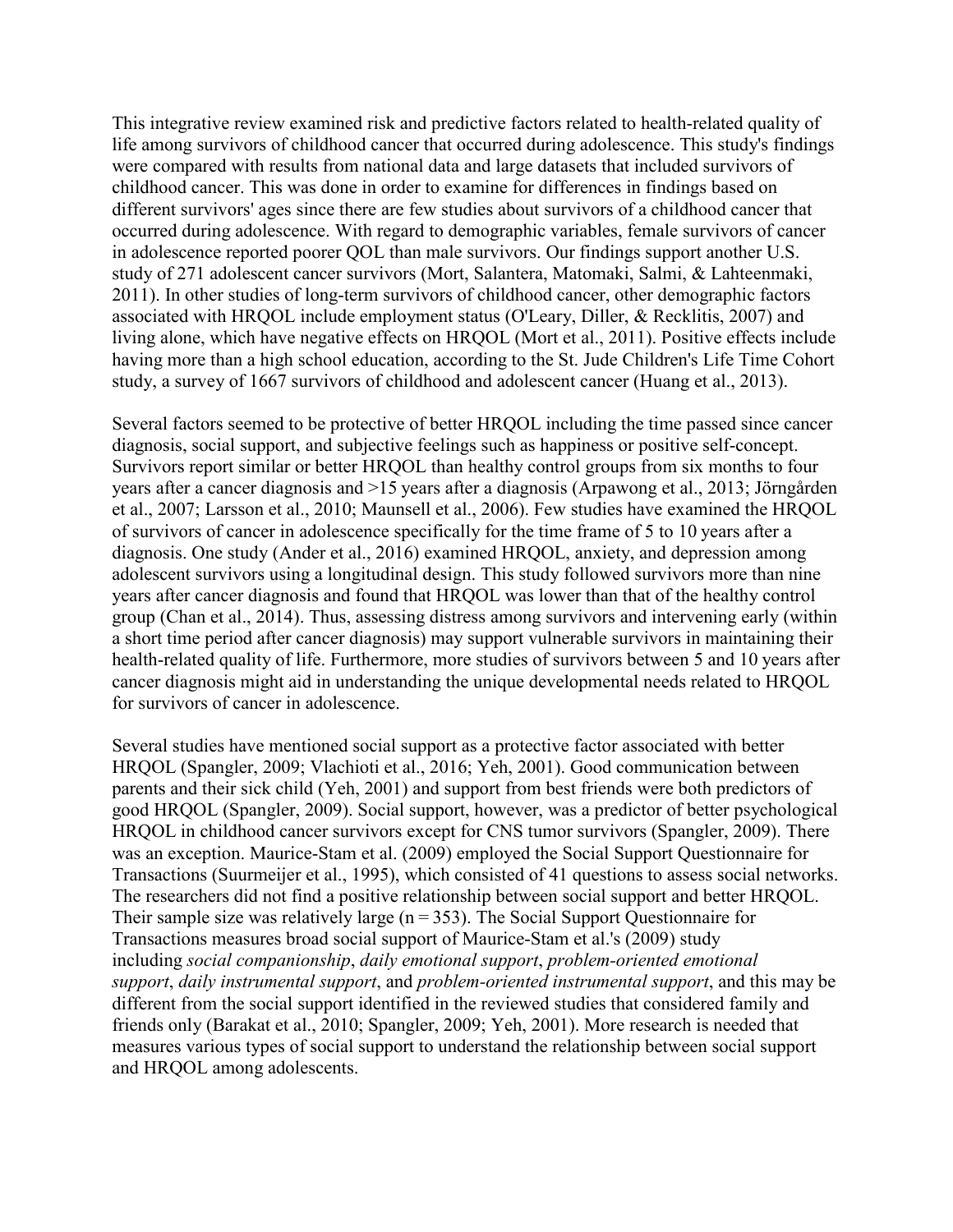This integrative review examined risk and predictive factors related to health-related quality of life among survivors of childhood cancer that occurred during adolescence. This study's findings were compared with results from national data and large datasets that included survivors of childhood cancer. This was done in order to examine for differences in findings based on different survivors' ages since there are few studies about survivors of a childhood cancer that occurred during adolescence. With regard to demographic variables, female survivors of cancer in adolescence reported poorer QOL than male survivors. Our findings support another U.S. study of 271 adolescent cancer survivors (Mort, Salantera, Matomaki, Salmi, & Lahteenmaki, 2011). In other studies of long-term survivors of childhood cancer, other demographic factors associated with HRQOL include employment status (O'Leary, Diller, & Recklitis, 2007) and living alone, which have negative effects on HRQOL (Mort et al., 2011). Positive effects include having more than a high school education, according to the St. Jude Children's Life Time Cohort study, a survey of 1667 survivors of childhood and adolescent cancer (Huang et al., 2013).

Several factors seemed to be protective of better HRQOL including the time passed since cancer diagnosis, social support, and subjective feelings such as happiness or positive self-concept. Survivors report similar or better HRQOL than healthy control groups from six months to four years after a cancer diagnosis and >15 years after a diagnosis (Arpawong et al., 2013; Jörngården et al., 2007; Larsson et al., 2010; Maunsell et al., 2006). Few studies have examined the HRQOL of survivors of cancer in adolescence specifically for the time frame of 5 to 10 years after a diagnosis. One study (Ander et al., 2016) examined HRQOL, anxiety, and depression among adolescent survivors using a longitudinal design. This study followed survivors more than nine years after cancer diagnosis and found that HRQOL was lower than that of the healthy control group (Chan et al., 2014). Thus, assessing distress among survivors and intervening early (within a short time period after cancer diagnosis) may support vulnerable survivors in maintaining their health-related quality of life. Furthermore, more studies of survivors between 5 and 10 years after cancer diagnosis might aid in understanding the unique developmental needs related to HRQOL for survivors of cancer in adolescence.

Several studies have mentioned social support as a protective factor associated with better HRQOL (Spangler, 2009; Vlachioti et al., 2016; Yeh, 2001). Good communication between parents and their sick child (Yeh, 2001) and support from best friends were both predictors of good HRQOL (Spangler, 2009). Social support, however, was a predictor of better psychological HRQOL in childhood cancer survivors except for CNS tumor survivors (Spangler, 2009). There was an exception. Maurice-Stam et al. (2009) employed the Social Support Questionnaire for Transactions (Suurmeijer et al., 1995), which consisted of 41 questions to assess social networks. The researchers did not find a positive relationship between social support and better HRQOL. Their sample size was relatively large  $(n = 353)$ . The Social Support Questionnaire for Transactions measures broad social support of Maurice-Stam et al.'s (2009) study including *social companionship*, *daily emotional support*, *problem-oriented emotional support*, *daily instrumental support*, and *problem-oriented instrumental support*, and this may be different from the social support identified in the reviewed studies that considered family and friends only (Barakat et al., 2010; Spangler, 2009; Yeh, 2001). More research is needed that measures various types of social support to understand the relationship between social support and HRQOL among adolescents.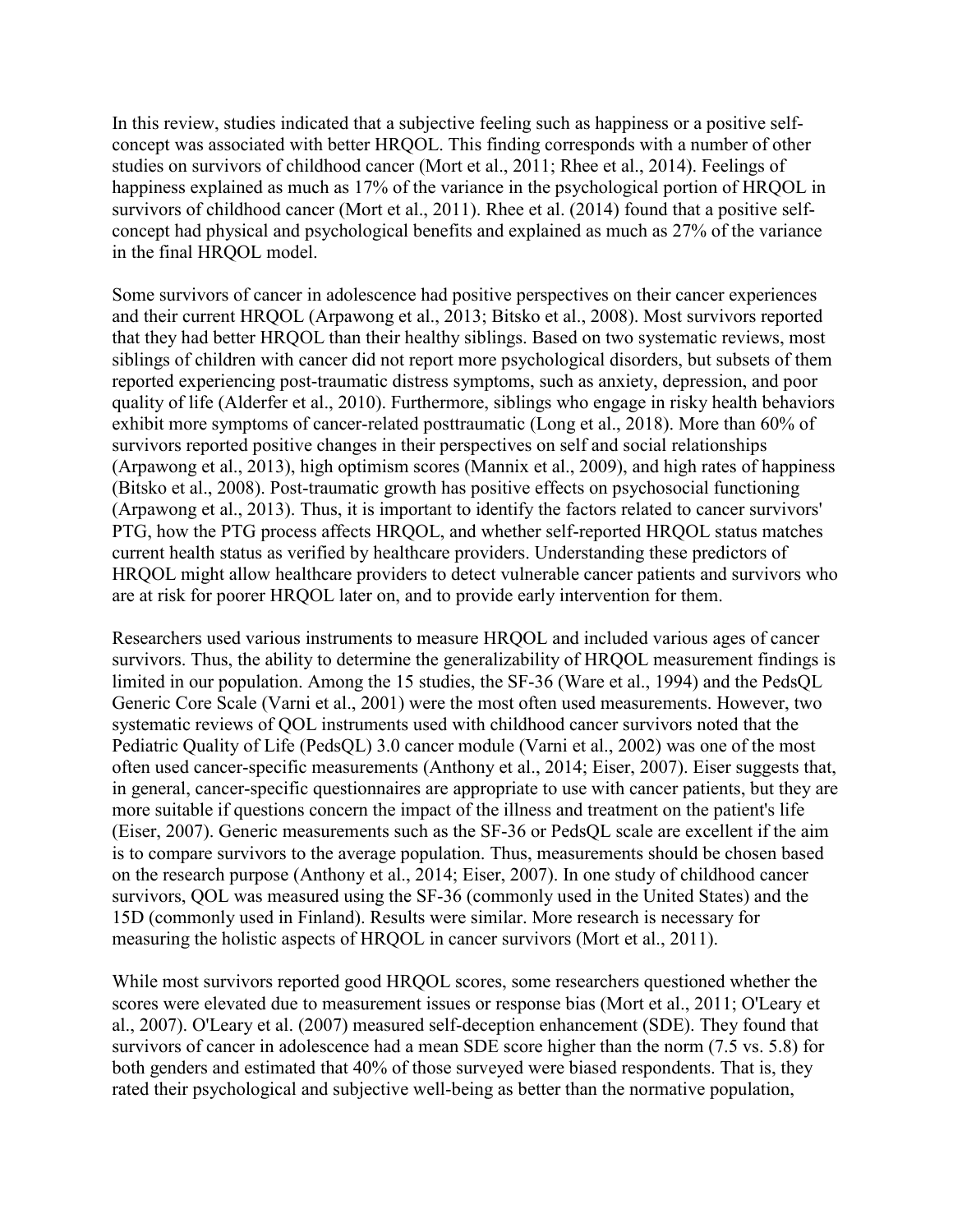In this review, studies indicated that a subjective feeling such as happiness or a positive selfconcept was associated with better HRQOL. This finding corresponds with a number of other studies on survivors of childhood cancer (Mort et al., 2011; Rhee et al., 2014). Feelings of happiness explained as much as 17% of the variance in the psychological portion of HRQOL in survivors of childhood cancer (Mort et al., 2011). Rhee et al. (2014) found that a positive selfconcept had physical and psychological benefits and explained as much as 27% of the variance in the final HRQOL model.

Some survivors of cancer in adolescence had positive perspectives on their cancer experiences and their current HRQOL (Arpawong et al., 2013; Bitsko et al., 2008). Most survivors reported that they had better HRQOL than their healthy siblings. Based on two systematic reviews, most siblings of children with cancer did not report more psychological disorders, but subsets of them reported experiencing post-traumatic distress symptoms, such as anxiety, depression, and poor quality of life (Alderfer et al., 2010). Furthermore, siblings who engage in risky health behaviors exhibit more symptoms of cancer-related posttraumatic (Long et al., 2018). More than 60% of survivors reported positive changes in their perspectives on self and social relationships (Arpawong et al., 2013), high optimism scores (Mannix et al., 2009), and high rates of happiness (Bitsko et al., 2008). Post-traumatic growth has positive effects on psychosocial functioning (Arpawong et al., 2013). Thus, it is important to identify the factors related to cancer survivors' PTG, how the PTG process affects HRQOL, and whether self-reported HRQOL status matches current health status as verified by healthcare providers. Understanding these predictors of HRQOL might allow healthcare providers to detect vulnerable cancer patients and survivors who are at risk for poorer HRQOL later on, and to provide early intervention for them.

Researchers used various instruments to measure HRQOL and included various ages of cancer survivors. Thus, the ability to determine the generalizability of HRQOL measurement findings is limited in our population. Among the 15 studies, the SF-36 (Ware et al., 1994) and the PedsQL Generic Core Scale (Varni et al., 2001) were the most often used measurements. However, two systematic reviews of QOL instruments used with childhood cancer survivors noted that the Pediatric Quality of Life (PedsQL) 3.0 cancer module (Varni et al., 2002) was one of the most often used cancer-specific measurements (Anthony et al., 2014; Eiser, 2007). Eiser suggests that, in general, cancer-specific questionnaires are appropriate to use with cancer patients, but they are more suitable if questions concern the impact of the illness and treatment on the patient's life (Eiser, 2007). Generic measurements such as the SF-36 or PedsQL scale are excellent if the aim is to compare survivors to the average population. Thus, measurements should be chosen based on the research purpose (Anthony et al., 2014; Eiser, 2007). In one study of childhood cancer survivors, QOL was measured using the SF-36 (commonly used in the United States) and the 15D (commonly used in Finland). Results were similar. More research is necessary for measuring the holistic aspects of HRQOL in cancer survivors (Mort et al., 2011).

While most survivors reported good HRQOL scores, some researchers questioned whether the scores were elevated due to measurement issues or response bias (Mort et al., 2011; O'Leary et al., 2007). O'Leary et al. (2007) measured self-deception enhancement (SDE). They found that survivors of cancer in adolescence had a mean SDE score higher than the norm (7.5 vs. 5.8) for both genders and estimated that 40% of those surveyed were biased respondents. That is, they rated their psychological and subjective well-being as better than the normative population,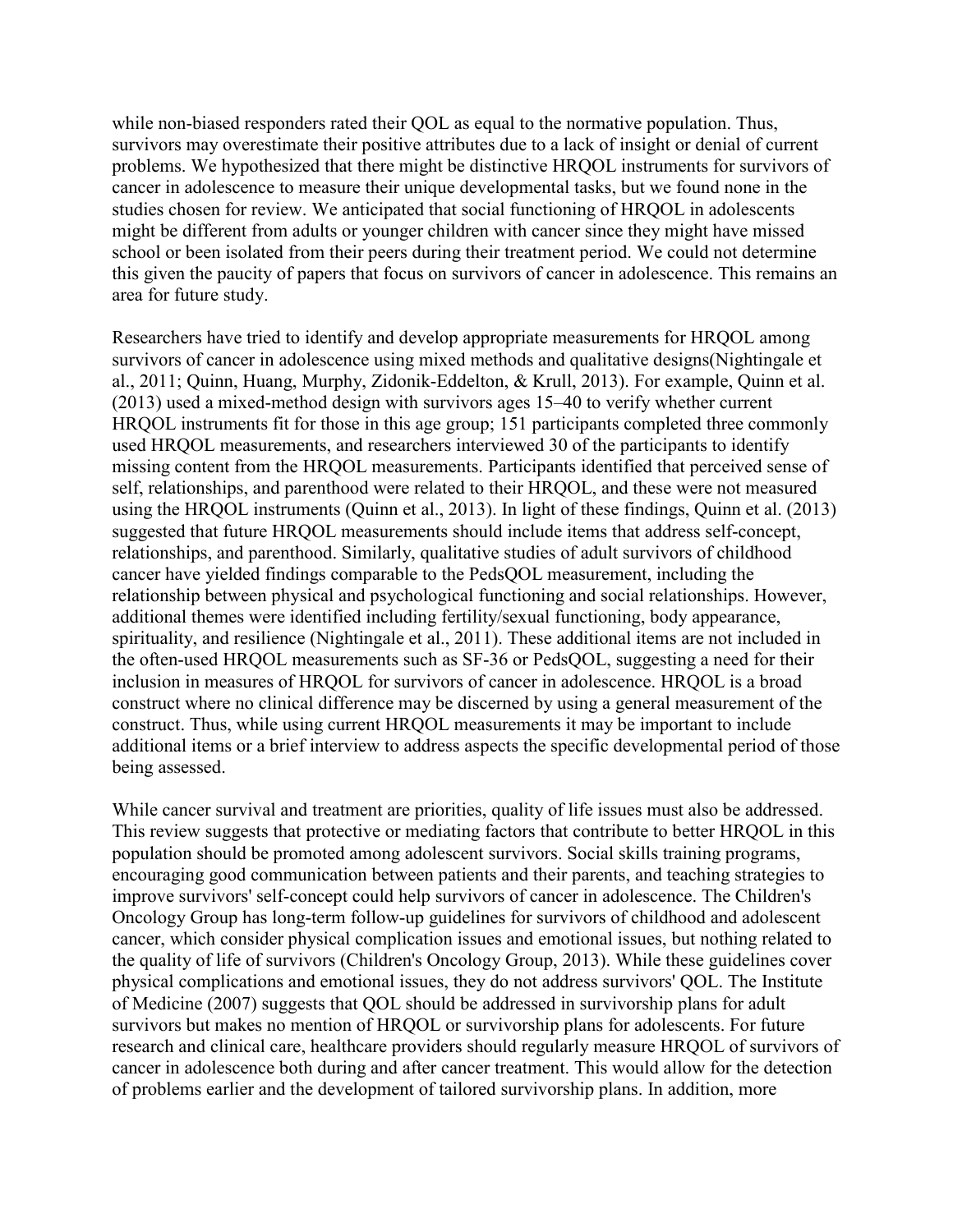while non-biased responders rated their QOL as equal to the normative population. Thus, survivors may overestimate their positive attributes due to a lack of insight or denial of current problems. We hypothesized that there might be distinctive HRQOL instruments for survivors of cancer in adolescence to measure their unique developmental tasks, but we found none in the studies chosen for review. We anticipated that social functioning of HRQOL in adolescents might be different from adults or younger children with cancer since they might have missed school or been isolated from their peers during their treatment period. We could not determine this given the paucity of papers that focus on survivors of cancer in adolescence. This remains an area for future study.

Researchers have tried to identify and develop appropriate measurements for HRQOL among survivors of cancer in adolescence using mixed methods and qualitative designs(Nightingale et al., 2011; Quinn, Huang, Murphy, Zidonik-Eddelton, & Krull, 2013). For example, Quinn et al. (2013) used a mixed-method design with survivors ages 15–40 to verify whether current HRQOL instruments fit for those in this age group; 151 participants completed three commonly used HRQOL measurements, and researchers interviewed 30 of the participants to identify missing content from the HRQOL measurements. Participants identified that perceived sense of self, relationships, and parenthood were related to their HRQOL, and these were not measured using the HRQOL instruments (Quinn et al., 2013). In light of these findings, Quinn et al. (2013) suggested that future HRQOL measurements should include items that address self-concept, relationships, and parenthood. Similarly, qualitative studies of adult survivors of childhood cancer have yielded findings comparable to the PedsQOL measurement, including the relationship between physical and psychological functioning and social relationships. However, additional themes were identified including fertility/sexual functioning, body appearance, spirituality, and resilience (Nightingale et al., 2011). These additional items are not included in the often-used HRQOL measurements such as SF-36 or PedsQOL, suggesting a need for their inclusion in measures of HRQOL for survivors of cancer in adolescence. HRQOL is a broad construct where no clinical difference may be discerned by using a general measurement of the construct. Thus, while using current HRQOL measurements it may be important to include additional items or a brief interview to address aspects the specific developmental period of those being assessed.

While cancer survival and treatment are priorities, quality of life issues must also be addressed. This review suggests that protective or mediating factors that contribute to better HRQOL in this population should be promoted among adolescent survivors. Social skills training programs, encouraging good communication between patients and their parents, and teaching strategies to improve survivors' self-concept could help survivors of cancer in adolescence. The Children's Oncology Group has long-term follow-up guidelines for survivors of childhood and adolescent cancer, which consider physical complication issues and emotional issues, but nothing related to the quality of life of survivors (Children's Oncology Group, 2013). While these guidelines cover physical complications and emotional issues, they do not address survivors' QOL. The Institute of Medicine (2007) suggests that QOL should be addressed in survivorship plans for adult survivors but makes no mention of HRQOL or survivorship plans for adolescents. For future research and clinical care, healthcare providers should regularly measure HRQOL of survivors of cancer in adolescence both during and after cancer treatment. This would allow for the detection of problems earlier and the development of tailored survivorship plans. In addition, more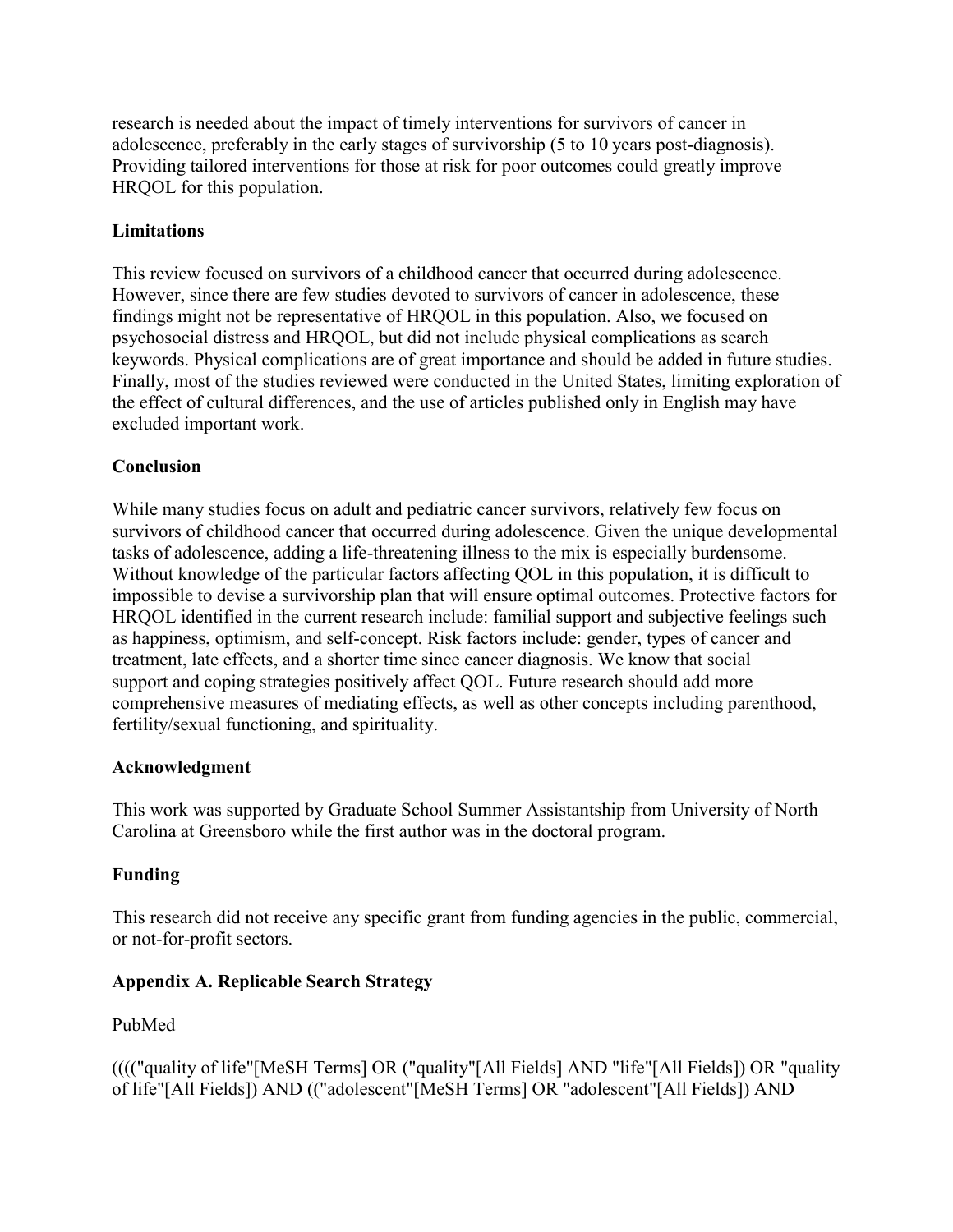research is needed about the impact of timely interventions for survivors of cancer in adolescence, preferably in the early stages of survivorship (5 to 10 years post-diagnosis). Providing tailored interventions for those at risk for poor outcomes could greatly improve HRQOL for this population.

## **Limitations**

This review focused on survivors of a childhood cancer that occurred during adolescence. However, since there are few studies devoted to survivors of cancer in adolescence, these findings might not be representative of HRQOL in this population. Also, we focused on psychosocial distress and HRQOL, but did not include physical complications as search keywords. Physical complications are of great importance and should be added in future studies. Finally, most of the studies reviewed were conducted in the United States, limiting exploration of the effect of cultural differences, and the use of articles published only in English may have excluded important work.

# **Conclusion**

While many studies focus on adult and pediatric cancer survivors, relatively few focus on survivors of childhood cancer that occurred during adolescence. Given the unique developmental tasks of adolescence, adding a life-threatening illness to the mix is especially burdensome. Without knowledge of the particular factors affecting QOL in this population, it is difficult to impossible to devise a survivorship plan that will ensure optimal outcomes. Protective factors for HRQOL identified in the current research include: familial support and subjective feelings such as happiness, optimism, and self-concept. Risk factors include: gender, types of cancer and treatment, late effects, and a shorter time since cancer diagnosis. We know that social support and coping strategies positively affect QOL. Future research should add more comprehensive measures of mediating effects, as well as other concepts including parenthood, fertility/sexual functioning, and spirituality.

## **Acknowledgment**

This work was supported by Graduate School Summer Assistantship from University of North Carolina at Greensboro while the first author was in the doctoral program.

## **Funding**

This research did not receive any specific grant from funding agencies in the public, commercial, or not-for-profit sectors.

## **Appendix A. Replicable Search Strategy**

## PubMed

(((("quality of life"[MeSH Terms] OR ("quality"[All Fields] AND "life"[All Fields]) OR "quality of life"[All Fields]) AND (("adolescent"[MeSH Terms] OR "adolescent"[All Fields]) AND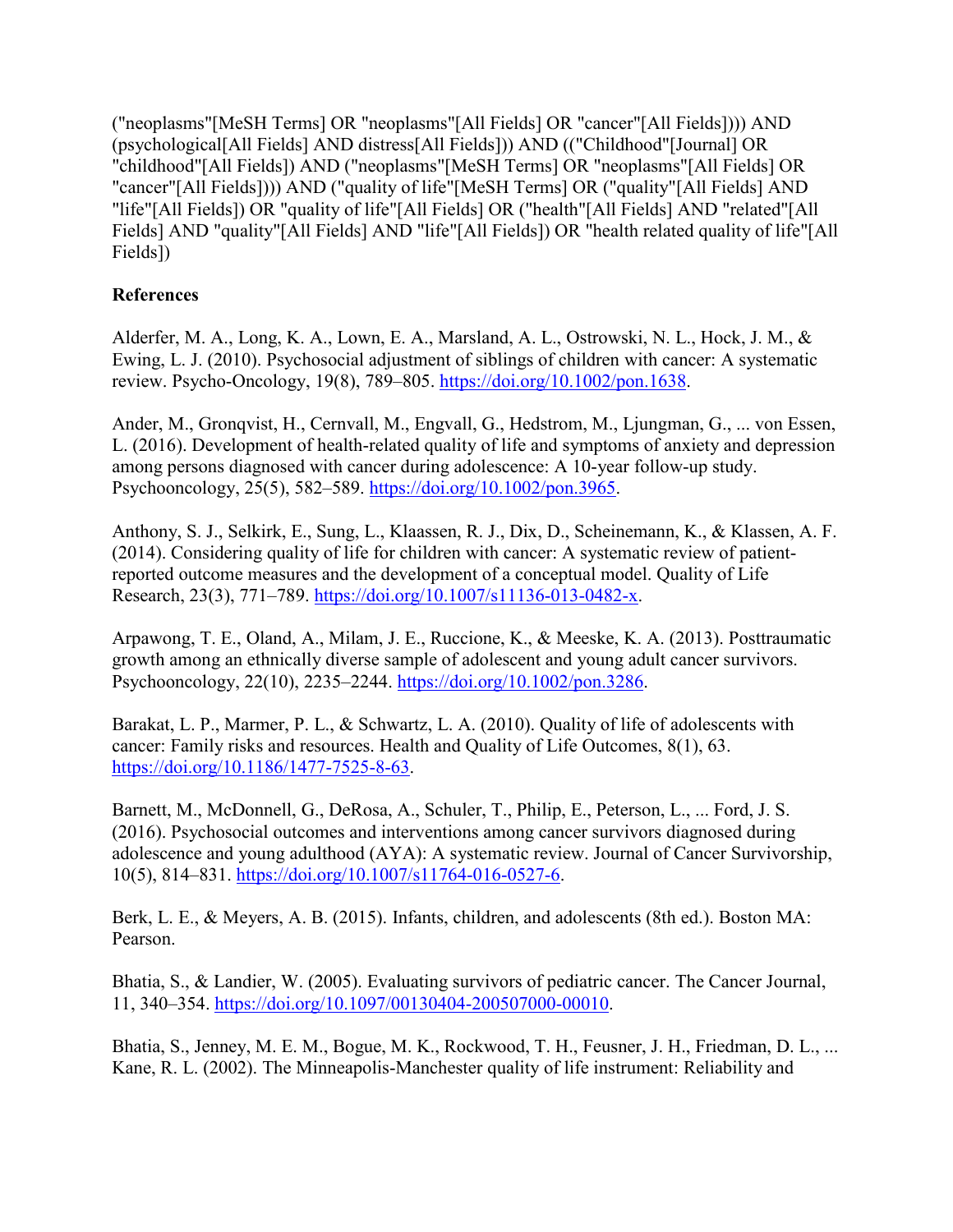("neoplasms"[MeSH Terms] OR "neoplasms"[All Fields] OR "cancer"[All Fields]))) AND (psychological[All Fields] AND distress[All Fields])) AND (("Childhood"[Journal] OR "childhood"[All Fields]) AND ("neoplasms"[MeSH Terms] OR "neoplasms"[All Fields] OR "cancer"[All Fields]))) AND ("quality of life"[MeSH Terms] OR ("quality"[All Fields] AND "life"[All Fields]) OR "quality of life"[All Fields] OR ("health"[All Fields] AND "related"[All Fields] AND "quality"[All Fields] AND "life"[All Fields]) OR "health related quality of life"[All Fields])

# **References**

Alderfer, M. A., Long, K. A., Lown, E. A., Marsland, A. L., Ostrowski, N. L., Hock, J. M., & Ewing, L. J. (2010). Psychosocial adjustment of siblings of children with cancer: A systematic review. Psycho-Oncology, 19(8), 789–805. [https://doi.org/10.1002/pon.1638.](https://doi.org/10.1002/pon.1638)

Ander, M., Gronqvist, H., Cernvall, M., Engvall, G., Hedstrom, M., Ljungman, G., ... von Essen, L. (2016). Development of health-related quality of life and symptoms of anxiety and depression among persons diagnosed with cancer during adolescence: A 10-year follow-up study. Psychooncology, 25(5), 582–589. [https://doi.org/10.1002/pon.3965.](https://doi.org/10.1002/pon.3965)

Anthony, S. J., Selkirk, E., Sung, L., Klaassen, R. J., Dix, D., Scheinemann, K., & Klassen, A. F. (2014). Considering quality of life for children with cancer: A systematic review of patientreported outcome measures and the development of a conceptual model. Quality of Life Research, 23(3), 771–789. [https://doi.org/10.1007/s11136-013-0482-x.](https://doi.org/10.1007/s11136-013-0482-x)

Arpawong, T. E., Oland, A., Milam, J. E., Ruccione, K., & Meeske, K. A. (2013). Posttraumatic growth among an ethnically diverse sample of adolescent and young adult cancer survivors. Psychooncology, 22(10), 2235–2244. [https://doi.org/10.1002/pon.3286.](https://doi.org/10.1002/pon.3286)

Barakat, L. P., Marmer, P. L., & Schwartz, L. A. (2010). Quality of life of adolescents with cancer: Family risks and resources. Health and Quality of Life Outcomes, 8(1), 63. [https://doi.org/10.1186/1477-7525-8-63.](https://doi.org/10.1186/1477-7525-8-63)

Barnett, M., McDonnell, G., DeRosa, A., Schuler, T., Philip, E., Peterson, L., ... Ford, J. S. (2016). Psychosocial outcomes and interventions among cancer survivors diagnosed during adolescence and young adulthood (AYA): A systematic review. Journal of Cancer Survivorship, 10(5), 814–831. [https://doi.org/10.1007/s11764-016-0527-6.](https://doi.org/10.1007/s11764-016-0527-6)

Berk, L. E., & Meyers, A. B. (2015). Infants, children, and adolescents (8th ed.). Boston MA: Pearson.

Bhatia, S., & Landier, W. (2005). Evaluating survivors of pediatric cancer. The Cancer Journal, 11, 340–354. [https://doi.org/10.1097/00130404-200507000-00010.](https://doi.org/10.1097/00130404-200507000-00010)

Bhatia, S., Jenney, M. E. M., Bogue, M. K., Rockwood, T. H., Feusner, J. H., Friedman, D. L., ... Kane, R. L. (2002). The Minneapolis-Manchester quality of life instrument: Reliability and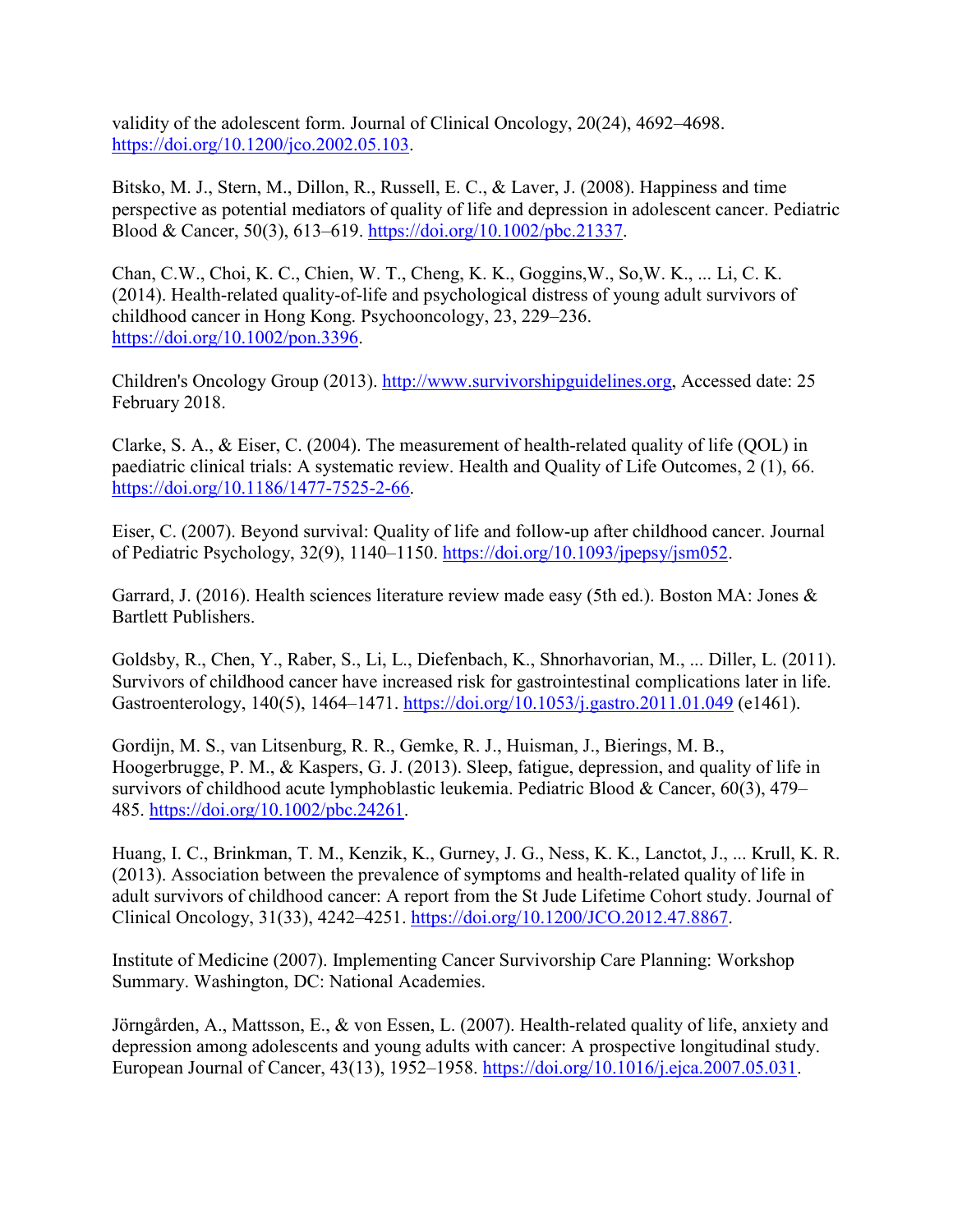validity of the adolescent form. Journal of Clinical Oncology, 20(24), 4692–4698. [https://doi.org/10.1200/jco.2002.05.103.](https://doi.org/10.1200/jco.2002.05.103)

Bitsko, M. J., Stern, M., Dillon, R., Russell, E. C., & Laver, J. (2008). Happiness and time perspective as potential mediators of quality of life and depression in adolescent cancer. Pediatric Blood & Cancer, 50(3), 613–619. [https://doi.org/10.1002/pbc.21337.](https://doi.org/10.1002/pbc.21337)

Chan, C.W., Choi, K. C., Chien, W. T., Cheng, K. K., Goggins,W., So,W. K., ... Li, C. K. (2014). Health-related quality-of-life and psychological distress of young adult survivors of childhood cancer in Hong Kong. Psychooncology, 23, 229–236. [https://doi.org/10.1002/pon.3396.](https://doi.org/10.1002/pon.3396)

Children's Oncology Group (2013). [http://www.survivorshipguidelines.org,](http://www.survivorshipguidelines.org/) Accessed date: 25 February 2018.

Clarke, S. A., & Eiser, C. (2004). The measurement of health-related quality of life (QOL) in paediatric clinical trials: A systematic review. Health and Quality of Life Outcomes, 2 (1), 66. [https://doi.org/10.1186/1477-7525-2-66.](https://doi.org/10.1186/1477-7525-2-66)

Eiser, C. (2007). Beyond survival: Quality of life and follow-up after childhood cancer. Journal of Pediatric Psychology, 32(9), 1140–1150. [https://doi.org/10.1093/jpepsy/jsm052.](https://doi.org/10.1093/jpepsy/jsm052)

Garrard, J. (2016). Health sciences literature review made easy (5th ed.). Boston MA: Jones & Bartlett Publishers.

Goldsby, R., Chen, Y., Raber, S., Li, L., Diefenbach, K., Shnorhavorian, M., ... Diller, L. (2011). Survivors of childhood cancer have increased risk for gastrointestinal complications later in life. Gastroenterology, 140(5), 1464–1471.<https://doi.org/10.1053/j.gastro.2011.01.049> (e1461).

Gordijn, M. S., van Litsenburg, R. R., Gemke, R. J., Huisman, J., Bierings, M. B., Hoogerbrugge, P. M., & Kaspers, G. J. (2013). Sleep, fatigue, depression, and quality of life in survivors of childhood acute lymphoblastic leukemia. Pediatric Blood & Cancer, 60(3), 479– 485. [https://doi.org/10.1002/pbc.24261.](https://doi.org/10.1002/pbc.24261)

Huang, I. C., Brinkman, T. M., Kenzik, K., Gurney, J. G., Ness, K. K., Lanctot, J., ... Krull, K. R. (2013). Association between the prevalence of symptoms and health-related quality of life in adult survivors of childhood cancer: A report from the St Jude Lifetime Cohort study. Journal of Clinical Oncology, 31(33), 4242–4251. [https://doi.org/10.1200/JCO.2012.47.8867.](https://doi.org/10.1200/JCO.2012.47.8867)

Institute of Medicine (2007). Implementing Cancer Survivorship Care Planning: Workshop Summary. Washington, DC: National Academies.

Jörngården, A., Mattsson, E., & von Essen, L. (2007). Health-related quality of life, anxiety and depression among adolescents and young adults with cancer: A prospective longitudinal study. European Journal of Cancer, 43(13), 1952–1958. [https://doi.org/10.1016/j.ejca.2007.05.031.](https://doi.org/10.1016/j.ejca.2007.05.031)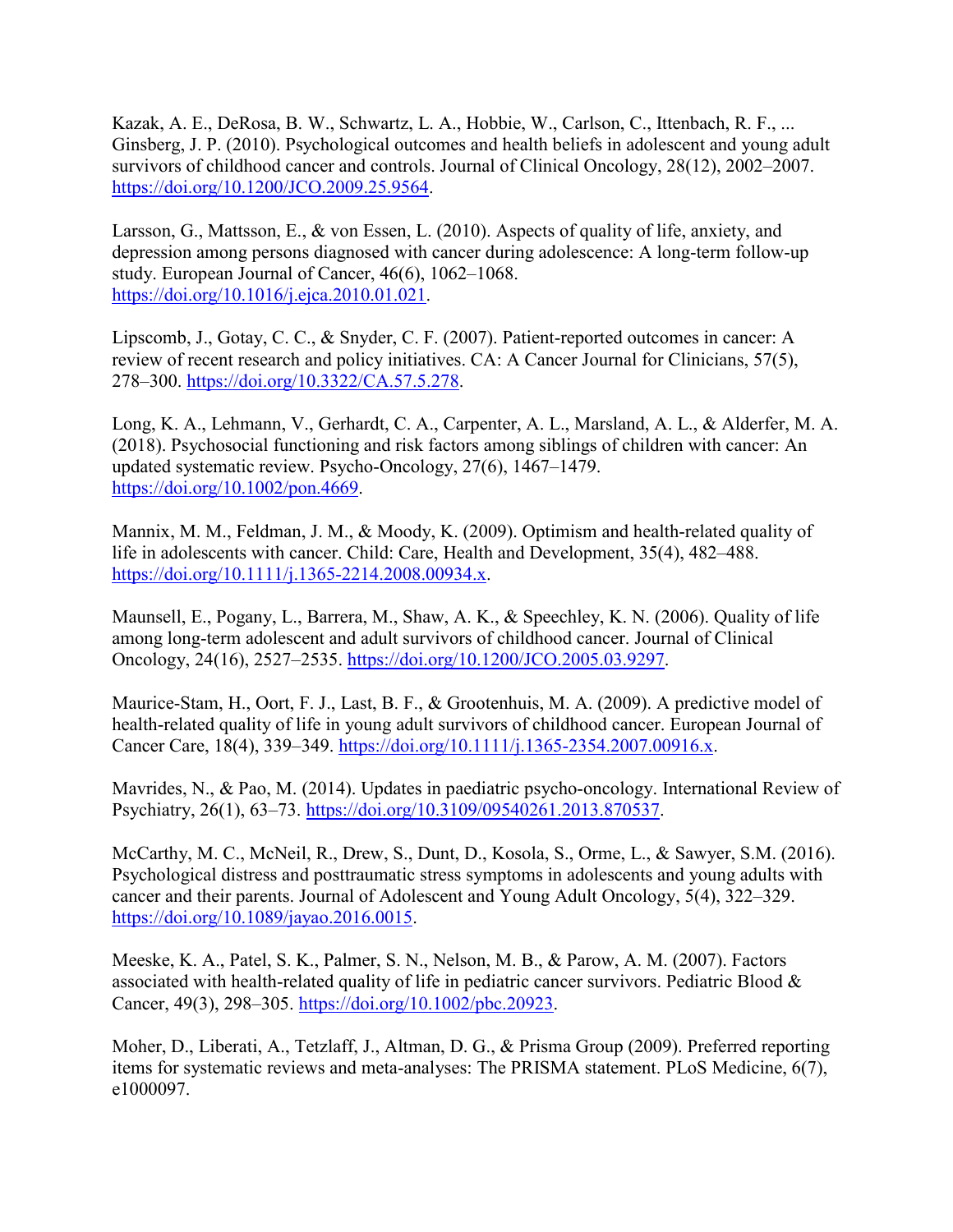Kazak, A. E., DeRosa, B. W., Schwartz, L. A., Hobbie, W., Carlson, C., Ittenbach, R. F., ... Ginsberg, J. P. (2010). Psychological outcomes and health beliefs in adolescent and young adult survivors of childhood cancer and controls. Journal of Clinical Oncology, 28(12), 2002–2007. [https://doi.org/10.1200/JCO.2009.25.9564.](https://doi.org/10.1200/JCO.2009.25.9564)

Larsson, G., Mattsson, E., & von Essen, L. (2010). Aspects of quality of life, anxiety, and depression among persons diagnosed with cancer during adolescence: A long-term follow-up study. European Journal of Cancer, 46(6), 1062–1068. [https://doi.org/10.1016/j.ejca.2010.01.021.](https://doi.org/10.1016/j.ejca.2010.01.021)

Lipscomb, J., Gotay, C. C., & Snyder, C. F. (2007). Patient-reported outcomes in cancer: A review of recent research and policy initiatives. CA: A Cancer Journal for Clinicians, 57(5), 278–300. [https://doi.org/10.3322/CA.57.5.278.](https://doi.org/10.3322/CA.57.5.278)

Long, K. A., Lehmann, V., Gerhardt, C. A., Carpenter, A. L., Marsland, A. L., & Alderfer, M. A. (2018). Psychosocial functioning and risk factors among siblings of children with cancer: An updated systematic review. Psycho-Oncology, 27(6), 1467–1479. [https://doi.org/10.1002/pon.4669.](https://doi.org/10.1002/pon.4669)

Mannix, M. M., Feldman, J. M., & Moody, K. (2009). Optimism and health-related quality of life in adolescents with cancer. Child: Care, Health and Development, 35(4), 482–488. [https://doi.org/10.1111/j.1365-2214.2008.00934.x.](https://doi.org/10.1111/j.1365-2214.2008.00934.x)

Maunsell, E., Pogany, L., Barrera, M., Shaw, A. K., & Speechley, K. N. (2006). Quality of life among long-term adolescent and adult survivors of childhood cancer. Journal of Clinical Oncology, 24(16), 2527–2535. [https://doi.org/10.1200/JCO.2005.03.9297.](https://doi.org/10.1200/JCO.2005.03.9297)

Maurice-Stam, H., Oort, F. J., Last, B. F., & Grootenhuis, M. A. (2009). A predictive model of health-related quality of life in young adult survivors of childhood cancer. European Journal of Cancer Care, 18(4), 339–349. [https://doi.org/10.1111/j.1365-2354.2007.00916.x.](https://doi.org/10.1111/j.1365-2354.2007.00916.x)

Mavrides, N., & Pao, M. (2014). Updates in paediatric psycho-oncology. International Review of Psychiatry, 26(1), 63–73. [https://doi.org/10.3109/09540261.2013.870537.](https://doi.org/10.3109/09540261.2013.870537)

McCarthy, M. C., McNeil, R., Drew, S., Dunt, D., Kosola, S., Orme, L., & Sawyer, S.M. (2016). Psychological distress and posttraumatic stress symptoms in adolescents and young adults with cancer and their parents. Journal of Adolescent and Young Adult Oncology, 5(4), 322–329. [https://doi.org/10.1089/jayao.2016.0015.](https://doi.org/10.1089/jayao.2016.0015)

Meeske, K. A., Patel, S. K., Palmer, S. N., Nelson, M. B., & Parow, A. M. (2007). Factors associated with health-related quality of life in pediatric cancer survivors. Pediatric Blood & Cancer, 49(3), 298–305. [https://doi.org/10.1002/pbc.20923.](https://doi.org/10.1002/pbc.20923)

Moher, D., Liberati, A., Tetzlaff, J., Altman, D. G., & Prisma Group (2009). Preferred reporting items for systematic reviews and meta-analyses: The PRISMA statement. PLoS Medicine, 6(7), e1000097.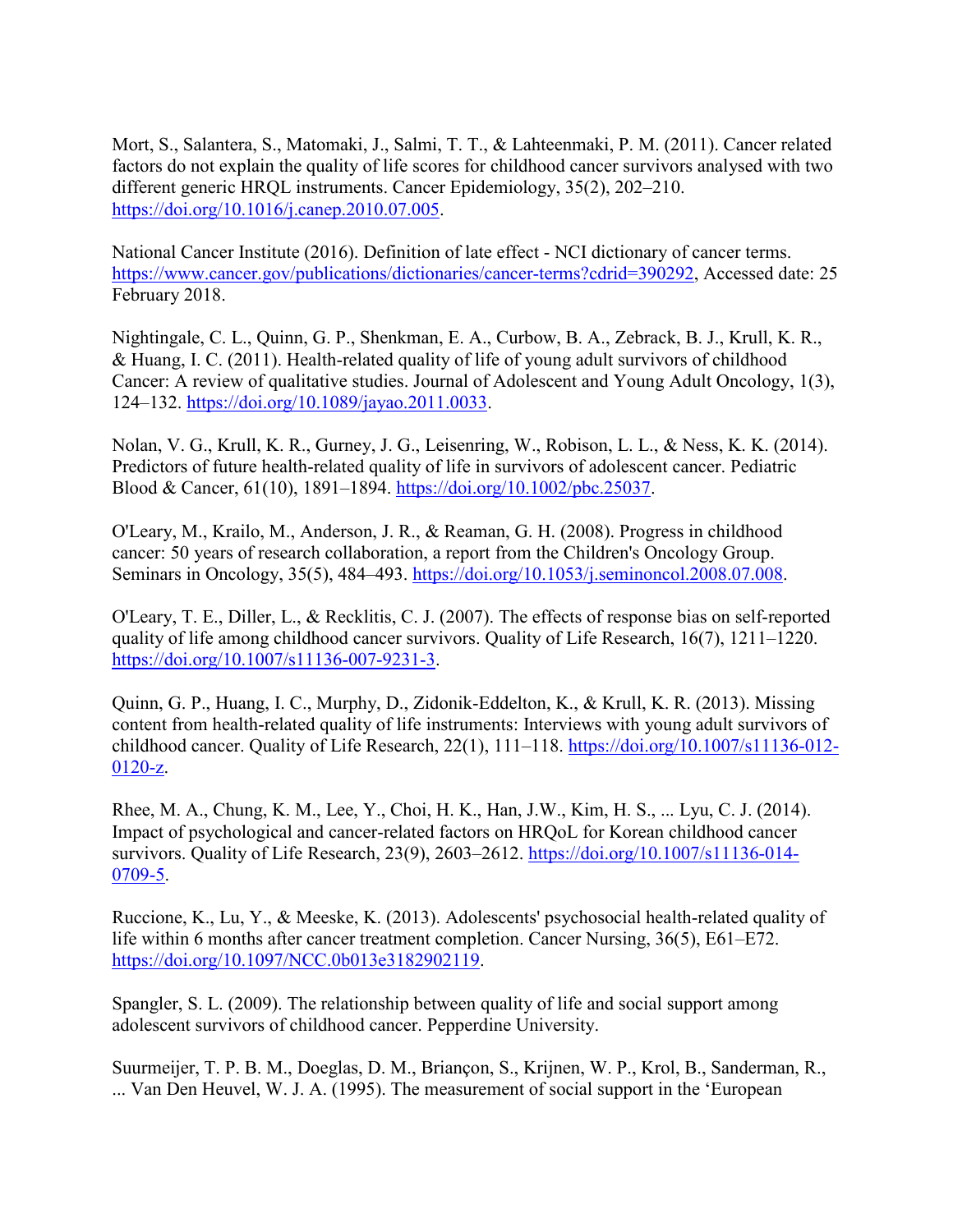Mort, S., Salantera, S., Matomaki, J., Salmi, T. T., & Lahteenmaki, P. M. (2011). Cancer related factors do not explain the quality of life scores for childhood cancer survivors analysed with two different generic HRQL instruments. Cancer Epidemiology, 35(2), 202–210. [https://doi.org/10.1016/j.canep.2010.07.005.](https://doi.org/10.1016/j.canep.2010.07.005)

National Cancer Institute (2016). Definition of late effect - NCI dictionary of cancer terms. [https://www.cancer.gov/publications/dictionaries/cancer-](https://www.cancer.gov/publications/dictionaries/cancer-terms?cdrid=390292)terms?cdrid=390292, Accessed date: 25 February 2018.

Nightingale, C. L., Quinn, G. P., Shenkman, E. A., Curbow, B. A., Zebrack, B. J., Krull, K. R., & Huang, I. C. (2011). Health-related quality of life of young adult survivors of childhood Cancer: A review of qualitative studies. Journal of Adolescent and Young Adult Oncology, 1(3), 124–132. [https://doi.org/10.1089/jayao.2011.0033.](https://doi.org/10.1089/jayao.2011.0033)

Nolan, V. G., Krull, K. R., Gurney, J. G., Leisenring, W., Robison, L. L., & Ness, K. K. (2014). Predictors of future health-related quality of life in survivors of adolescent cancer. Pediatric Blood & Cancer, 61(10), 1891–1894. [https://doi.org/10.1002/pbc.25037.](https://doi.org/10.1002/pbc.25037)

O'Leary, M., Krailo, M., Anderson, J. R., & Reaman, G. H. (2008). Progress in childhood cancer: 50 years of research collaboration, a report from the Children's Oncology Group. Seminars in Oncology, 35(5), 484–493. [https://doi.org/10.1053/j.seminoncol.2008.07.008.](https://doi.org/10.1053/j.seminoncol.2008.07.008)

O'Leary, T. E., Diller, L., & Recklitis, C. J. (2007). The effects of response bias on self-reported quality of life among childhood cancer survivors. Quality of Life Research, 16(7), 1211–1220. [https://doi.org/10.1007/s11136-007-9231-3.](https://doi.org/10.1007/s11136-007-9231-3)

Quinn, G. P., Huang, I. C., Murphy, D., Zidonik-Eddelton, K., & Krull, K. R. (2013). Missing content from health-related quality of life instruments: Interviews with young adult survivors of childhood cancer. Quality of Life Research, 22(1), 111–118. [https://doi.org/10.1007/s11136-012-](https://doi.org/10.1007/s11136-012-0120-z) [0120-z.](https://doi.org/10.1007/s11136-012-0120-z)

Rhee, M. A., Chung, K. M., Lee, Y., Choi, H. K., Han, J.W., Kim, H. S., ... Lyu, C. J. (2014). Impact of psychological and cancer-related factors on HRQoL for Korean childhood cancer survivors. Quality of Life Research, 23(9), 2603–2612. [https://doi.org/10.1007/s11136-014-](https://doi.org/10.1007/s11136-014-0709-5) [0709-5.](https://doi.org/10.1007/s11136-014-0709-5)

Ruccione, K., Lu, Y., & Meeske, K. (2013). Adolescents' psychosocial health-related quality of life within 6 months after cancer treatment completion. Cancer Nursing, 36(5), E61–E72. [https://doi.org/10.1097/NCC.0b013e3182902119.](https://doi.org/10.1097/NCC.0b013e3182902119)

Spangler, S. L. (2009). The relationship between quality of life and social support among adolescent survivors of childhood cancer. Pepperdine University.

Suurmeijer, T. P. B. M., Doeglas, D. M., Briançon, S., Krijnen, W. P., Krol, B., Sanderman, R., ... Van Den Heuvel, W. J. A. (1995). The measurement of social support in the 'European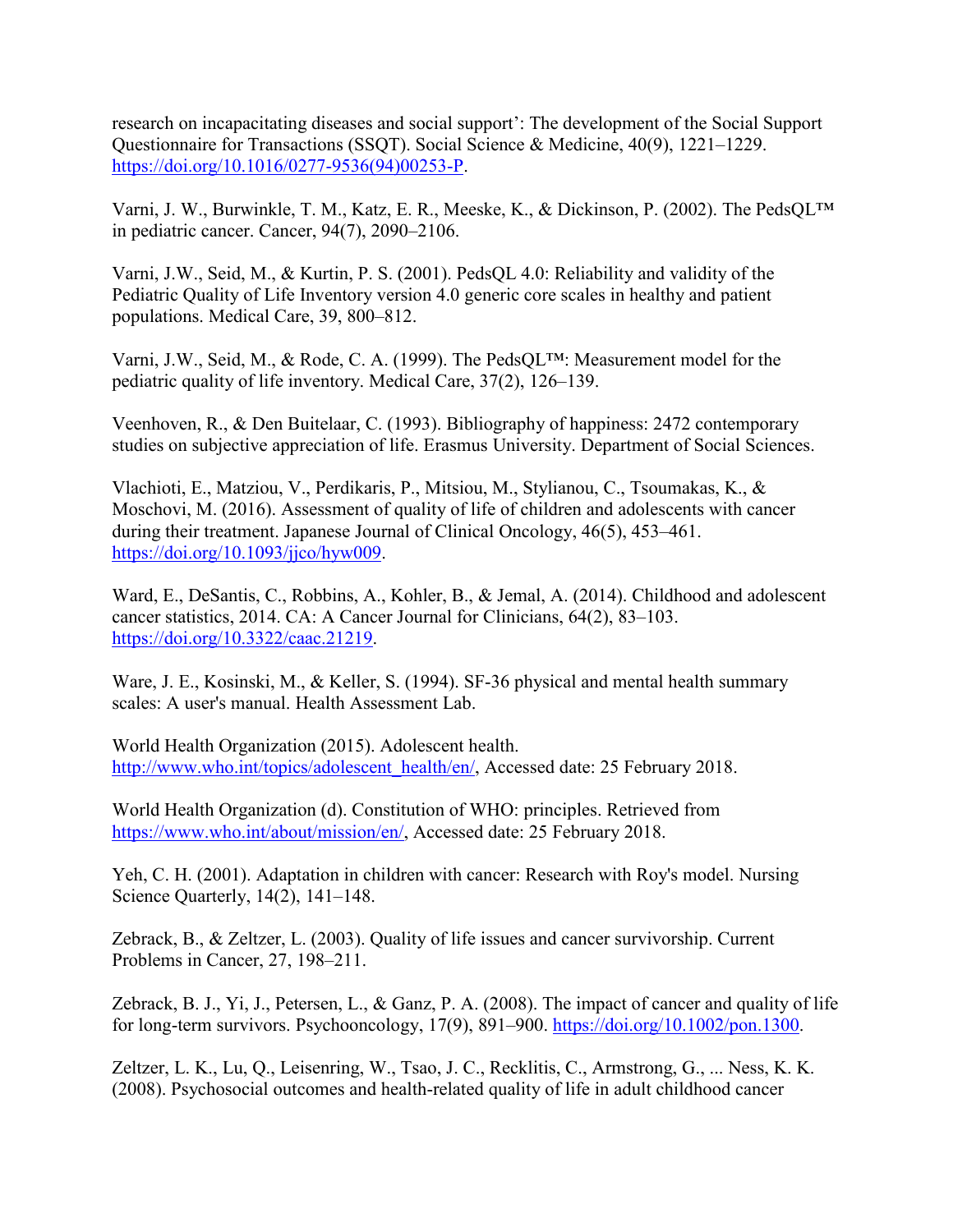research on incapacitating diseases and social support': The development of the Social Support Questionnaire for Transactions (SSQT). Social Science & Medicine, 40(9), 1221–1229. [https://doi.org/10.1016/0277-9536\(94\)00253-P.](https://doi.org/10.1016/0277-9536(94)00253-P)

Varni, J. W., Burwinkle, T. M., Katz, E. R., Meeske, K., & Dickinson, P. (2002). The PedsQL™ in pediatric cancer. Cancer, 94(7), 2090–2106.

Varni, J.W., Seid, M., & Kurtin, P. S. (2001). PedsQL 4.0: Reliability and validity of the Pediatric Quality of Life Inventory version 4.0 generic core scales in healthy and patient populations. Medical Care, 39, 800–812.

Varni, J.W., Seid, M., & Rode, C. A. (1999). The PedsQL™: Measurement model for the pediatric quality of life inventory. Medical Care, 37(2), 126–139.

Veenhoven, R., & Den Buitelaar, C. (1993). Bibliography of happiness: 2472 contemporary studies on subjective appreciation of life. Erasmus University. Department of Social Sciences.

Vlachioti, E., Matziou, V., Perdikaris, P., Mitsiou, M., Stylianou, C., Tsoumakas, K., & Moschovi, M. (2016). Assessment of quality of life of children and adolescents with cancer during their treatment. Japanese Journal of Clinical Oncology, 46(5), 453–461. [https://doi.org/10.1093/jjco/hyw009.](https://doi.org/10.1093/jjco/hyw009)

Ward, E., DeSantis, C., Robbins, A., Kohler, B., & Jemal, A. (2014). Childhood and adolescent cancer statistics, 2014. CA: A Cancer Journal for Clinicians, 64(2), 83–103. [https://doi.org/10.3322/caac.21219.](https://doi.org/10.3322/caac.21219)

Ware, J. E., Kosinski, M., & Keller, S. (1994). SF-36 physical and mental health summary scales: A user's manual. Health Assessment Lab.

World Health Organization (2015). Adolescent health. [http://www.who.int/topics/adolescent\\_health/en/,](http://www.who.int/topics/adolescent_health/en/) Accessed date: 25 February 2018.

World Health Organization (d). Constitution of WHO: principles. Retrieved from [https://www.who.int/about/mission/en/,](https://www.who.int/about/mission/en/) Accessed date: 25 February 2018.

Yeh, C. H. (2001). Adaptation in children with cancer: Research with Roy's model. Nursing Science Quarterly, 14(2), 141–148.

Zebrack, B., & Zeltzer, L. (2003). Quality of life issues and cancer survivorship. Current Problems in Cancer, 27, 198–211.

Zebrack, B. J., Yi, J., Petersen, L., & Ganz, P. A. (2008). The impact of cancer and quality of life for long-term survivors. Psychooncology, 17(9), 891–900. [https://doi.org/10.1002/pon.1300.](https://doi.org/10.1002/pon.1300)

Zeltzer, L. K., Lu, Q., Leisenring, W., Tsao, J. C., Recklitis, C., Armstrong, G., ... Ness, K. K. (2008). Psychosocial outcomes and health-related quality of life in adult childhood cancer